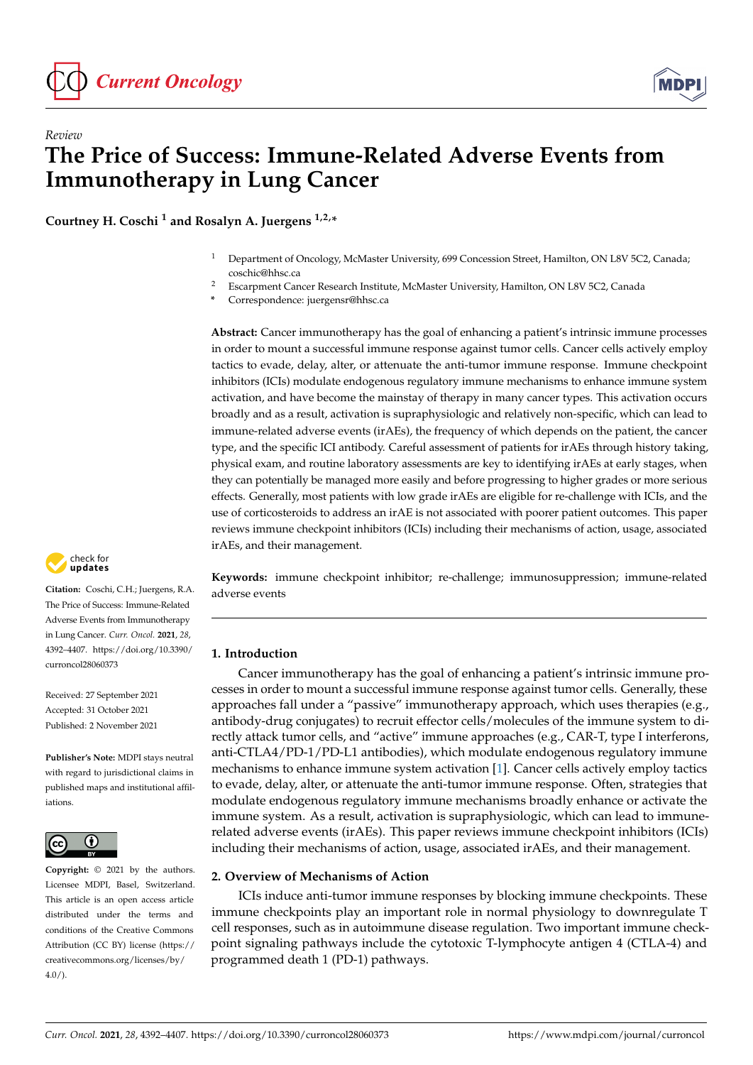



**Courtney H. Coschi <sup>1</sup> and Rosalyn A. Juergens 1,2,\***

- <sup>1</sup> Department of Oncology, McMaster University, 699 Concession Street, Hamilton, ON L8V 5C2, Canada; coschic@hhsc.ca
- <sup>2</sup> Escarpment Cancer Research Institute, McMaster University, Hamilton, ON L8V 5C2, Canada
- **\*** Correspondence: juergensr@hhsc.ca

**Abstract:** Cancer immunotherapy has the goal of enhancing a patient's intrinsic immune processes in order to mount a successful immune response against tumor cells. Cancer cells actively employ tactics to evade, delay, alter, or attenuate the anti-tumor immune response. Immune checkpoint inhibitors (ICIs) modulate endogenous regulatory immune mechanisms to enhance immune system activation, and have become the mainstay of therapy in many cancer types. This activation occurs broadly and as a result, activation is supraphysiologic and relatively non-specific, which can lead to immune-related adverse events (irAEs), the frequency of which depends on the patient, the cancer type, and the specific ICI antibody. Careful assessment of patients for irAEs through history taking, physical exam, and routine laboratory assessments are key to identifying irAEs at early stages, when they can potentially be managed more easily and before progressing to higher grades or more serious effects. Generally, most patients with low grade irAEs are eligible for re-challenge with ICIs, and the use of corticosteroids to address an irAE is not associated with poorer patient outcomes. This paper reviews immune checkpoint inhibitors (ICIs) including their mechanisms of action, usage, associated irAEs, and their management.

**Keywords:** immune checkpoint inhibitor; re-challenge; immunosuppression; immune-related adverse events

# **1. Introduction**

Cancer immunotherapy has the goal of enhancing a patient's intrinsic immune processes in order to mount a successful immune response against tumor cells. Generally, these approaches fall under a "passive" immunotherapy approach, which uses therapies (e.g., antibody-drug conjugates) to recruit effector cells/molecules of the immune system to directly attack tumor cells, and "active" immune approaches (e.g., CAR-T, type I interferons, anti-CTLA4/PD-1/PD-L1 antibodies), which modulate endogenous regulatory immune mechanisms to enhance immune system activation [\[1\]](#page-12-0). Cancer cells actively employ tactics to evade, delay, alter, or attenuate the anti-tumor immune response. Often, strategies that modulate endogenous regulatory immune mechanisms broadly enhance or activate the immune system. As a result, activation is supraphysiologic, which can lead to immunerelated adverse events (irAEs). This paper reviews immune checkpoint inhibitors (ICIs) including their mechanisms of action, usage, associated irAEs, and their management.

# **2. Overview of Mechanisms of Action**

ICIs induce anti-tumor immune responses by blocking immune checkpoints. These immune checkpoints play an important role in normal physiology to downregulate T cell responses, such as in autoimmune disease regulation. Two important immune checkpoint signaling pathways include the cytotoxic T-lymphocyte antigen 4 (CTLA-4) and programmed death 1 (PD-1) pathways.



**Citation:** Coschi, C.H.; Juergens, R.A. The Price of Success: Immune-Related Adverse Events from Immunotherapy in Lung Cancer. *Curr. Oncol.* **2021**, *28*, 4392–4407. [https://doi.org/10.3390/](https://doi.org/10.3390/curroncol28060373) [curroncol28060373](https://doi.org/10.3390/curroncol28060373)

Received: 27 September 2021 Accepted: 31 October 2021 Published: 2 November 2021

**Publisher's Note:** MDPI stays neutral with regard to jurisdictional claims in published maps and institutional affiliations.



**Copyright:** © 2021 by the authors. Licensee MDPI, Basel, Switzerland. This article is an open access article distributed under the terms and conditions of the Creative Commons Attribution (CC BY) license (https:/[/](https://creativecommons.org/licenses/by/4.0/) [creativecommons.org/licenses/by/](https://creativecommons.org/licenses/by/4.0/)  $4.0/$ ).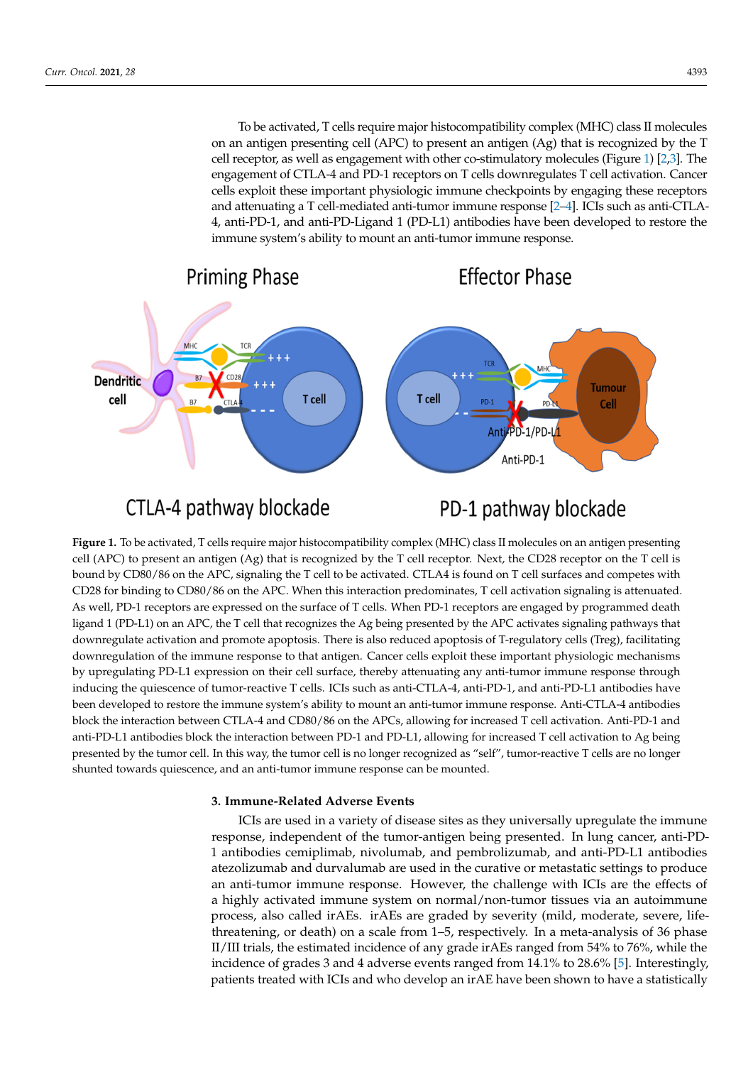To be activated, T cells require major histocompatibility complex (MHC) class II molecules on an antigen presenting cell (APC) to present an antigen (Ag) that is recognized by the T cell receptor, as well as engagement with other co-stimulatory molecules (Figure 1) [\[2,](#page-12-1)[3\]](#page-12-2). The engagement of CTLA-4 and PD-1 receptors on T cells downregulates T cell activation. Cancer engagement of CTEA-4 and TD-1 receptors on T cens downtegulates T cen activation. Cancer<br>cells exploit these important physiologic immune checkpoints by engaging these receptors and attenuating a T cell-mediated anti-tumor immune response [\[2](#page-12-1)[–4\]](#page-12-3). ICIs such as anti-CTLA-4, anti-PD-1, and anti-PD-Ligand 1 (PD-L1) antibodies have been developed to restore the immune system's ability to mount an anti-tumor immune response.

<span id="page-1-0"></span>

# CTLA-4 pathway blockade

PD-1 pathway blockade

cell (APC) to present an antigen (Ag) that is recognized by the T cell receptor. Next, the CD28 receptor on the T cell is bound by CD80/86 on the APC, signaling the T cell to be activated. CTLA4 is found on T cell surfaces and competes with CD28 for binding to CD80/86 on the APC. When this interaction predominates, T cell activation signaling is attenuated. As well, PD-1 receptors are expressed on the surface of T cells. When PD-1 receptors are engaged by programmed death ligand 1 (PD-L1) on an APC, the T cell that recognizes the Ag being presented by the APC activates signaling pathways that downregulate activation and promote apoptosis. There is also reduced apoptosis of T-regulatory cells (Treg), facilitating downregulation of the immune response to that antigen. Cancer cells exploit these important physiologic mechanisms by upregulating PD-L1 expression on their cell surface, thereby attenuating any anti-tumor immune response through inducing the quiescence of tumor-reactive T cells. ICIs such as anti-CTLA-4, anti-PD-1, and anti-PD-L1 antibodies have been developed to restore the immune system's ability to mount an anti-tumor immune response. Anti-CTLA-4 antibodies<br>been developed to restore the immune system's ability to mount an anti-tumor immune response. Anti-CTLA-4 plock the interaction between CTEA-4 and CD60/60 on the ATCs, allowing for increased T cell activation. Anti-TD-1 and anti-PD-L1 antibodies block the interaction between PD-1 and PD-L1, allowing for increased T cell activa presented by the tumor cell. In this way, the tumor cell is no longer recognized as "self", tumor-reactive T cells are no longer presented by the tumor cell. In this way, the tumor cell is no longer recognized as "self", For the international process and anti-position of the immune system of the international shunted towards quiescence, and an anti-tumor immune response can be mounted.  $\frac{1}{\sqrt{1-\frac{1}{\sqrt{1-\frac{1}{\sqrt{1-\frac{1}{\sqrt{1-\frac{1}{\sqrt{1-\frac{1}{\sqrt{1-\frac{1}{\sqrt{1-\frac{1}{\sqrt{1-\frac{1}{\sqrt{1-\frac{1}{\sqrt{1-\frac{1}{\sqrt{1-\frac{1}{\sqrt{1-\frac{1}{\sqrt{1-\frac{1}{\sqrt{1-\frac{1}{\sqrt{1-\frac{1}{\sqrt{1-\frac{1}{\sqrt{1-\frac{1}{\sqrt{1-\frac{1}{\sqrt{1-\frac{1}{\sqrt{1-\frac{1}{\sqrt{1-\frac{1}{\sqrt{1-\frac{1}{\sqrt{1-\frac{1}{\sqrt{1-\frac{1$ **Figure 1.** To be activated, T cells require major histocompatibility complex (MHC) class II molecules on an antigen presenting block the interaction between CTLA-4 and CD80/86 on the APCs, allowing for increased T cell activation. Anti-PD-1 and

# tion between CTLA-4 and CD80/86 on the APCs, allowing for increased T cell activation. Anti-PD-**3. Immune-Related Adverse Events**

ICIs are used in a variety of disease sites as they universally upregulate the immune response, independent of the tumor-antigen being presented. In lung cancer, anti-PD-1 antibodies cemiplimab, nivolumab, and pembrolizumab, and anti-PD-L1 antibodies atezolizumab and durvalumab are used in the curative or metastatic settings to produce a highly activated immune system on normal/non-tumor tissues via an autoimmune<br>
intervalsed in the late of the late of the late of the late of the late of the late of the late of the late of threatening, or death) on a scale from  $1-5$ , respectively. In a meta-analysis of 36 phase II/III trials, the estimated incidence of any grade irAEs ranged from 54% to 76%, while the incidence of grades 3 and 4 adverse events ranged from 14.1% to 28.6% [\[5\]](#page-12-4). Interestingly, patients treated with ICIs and who develop an irAE have been shown to have a statistically an anti-tumor immune response. However, the challenge with ICIs are the effects of process, also called irAEs. irAEs are graded by severity (mild, moderate, severe, life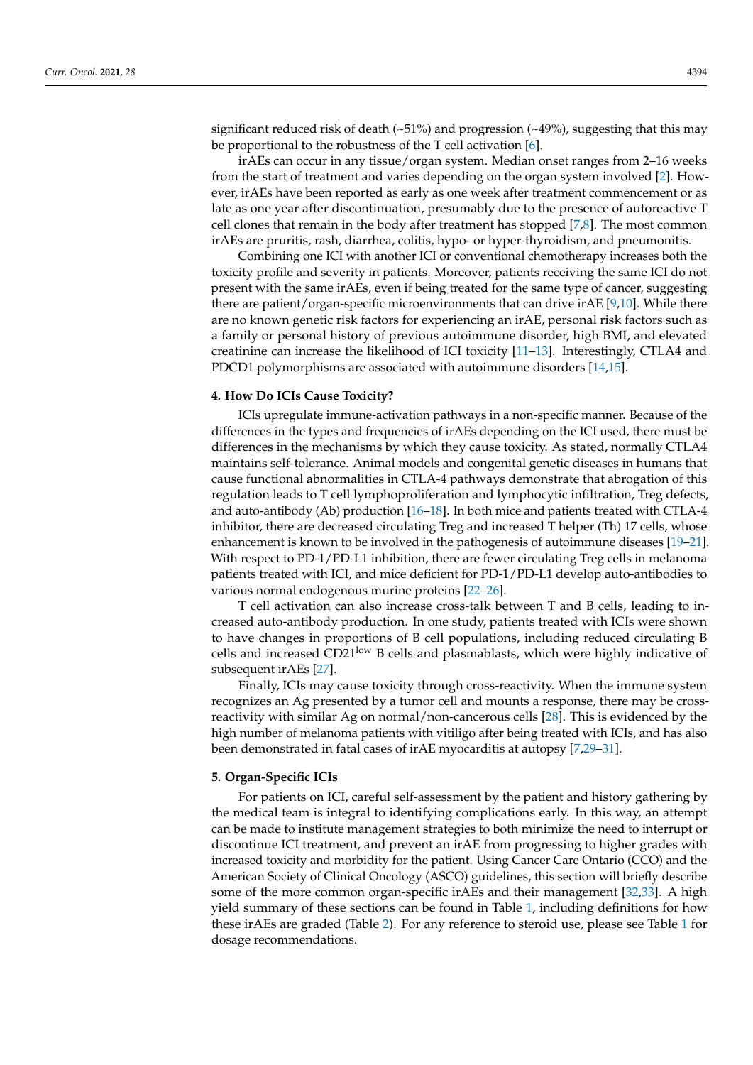significant reduced risk of death  $(-51%)$  and progression  $(-49%)$ , suggesting that this may be proportional to the robustness of the T cell activation [\[6\]](#page-12-5).

irAEs can occur in any tissue/organ system. Median onset ranges from 2–16 weeks from the start of treatment and varies depending on the organ system involved [\[2\]](#page-12-1). However, irAEs have been reported as early as one week after treatment commencement or as late as one year after discontinuation, presumably due to the presence of autoreactive T cell clones that remain in the body after treatment has stopped [\[7,](#page-12-6)[8\]](#page-12-7). The most common irAEs are pruritis, rash, diarrhea, colitis, hypo- or hyper-thyroidism, and pneumonitis.

Combining one ICI with another ICI or conventional chemotherapy increases both the toxicity profile and severity in patients. Moreover, patients receiving the same ICI do not present with the same irAEs, even if being treated for the same type of cancer, suggesting there are patient/organ-specific microenvironments that can drive irAE [\[9,](#page-12-8)[10\]](#page-12-9). While there are no known genetic risk factors for experiencing an irAE, personal risk factors such as a family or personal history of previous autoimmune disorder, high BMI, and elevated creatinine can increase the likelihood of ICI toxicity [\[11](#page-12-10)[–13\]](#page-12-11). Interestingly, CTLA4 and PDCD1 polymorphisms are associated with autoimmune disorders [\[14,](#page-12-12)[15\]](#page-12-13).

#### **4. How Do ICIs Cause Toxicity?**

ICIs upregulate immune-activation pathways in a non-specific manner. Because of the differences in the types and frequencies of irAEs depending on the ICI used, there must be differences in the mechanisms by which they cause toxicity. As stated, normally CTLA4 maintains self-tolerance. Animal models and congenital genetic diseases in humans that cause functional abnormalities in CTLA-4 pathways demonstrate that abrogation of this regulation leads to T cell lymphoproliferation and lymphocytic infiltration, Treg defects, and auto-antibody (Ab) production [\[16–](#page-12-14)[18\]](#page-12-15). In both mice and patients treated with CTLA-4 inhibitor, there are decreased circulating Treg and increased T helper (Th) 17 cells, whose enhancement is known to be involved in the pathogenesis of autoimmune diseases [\[19](#page-13-0)[–21\]](#page-13-1). With respect to PD-1/PD-L1 inhibition, there are fewer circulating Treg cells in melanoma patients treated with ICI, and mice deficient for PD-1/PD-L1 develop auto-antibodies to various normal endogenous murine proteins [\[22–](#page-13-2)[26\]](#page-13-3).

T cell activation can also increase cross-talk between T and B cells, leading to increased auto-antibody production. In one study, patients treated with ICIs were shown to have changes in proportions of B cell populations, including reduced circulating B cells and increased CD21<sup>low</sup> B cells and plasmablasts, which were highly indicative of subsequent irAEs [\[27\]](#page-13-4).

Finally, ICIs may cause toxicity through cross-reactivity. When the immune system recognizes an Ag presented by a tumor cell and mounts a response, there may be crossreactivity with similar Ag on normal/non-cancerous cells [\[28\]](#page-13-5). This is evidenced by the high number of melanoma patients with vitiligo after being treated with ICIs, and has also been demonstrated in fatal cases of irAE myocarditis at autopsy [\[7](#page-12-6)[,29](#page-13-6)[–31\]](#page-13-7).

#### **5. Organ-Specific ICIs**

For patients on ICI, careful self-assessment by the patient and history gathering by the medical team is integral to identifying complications early. In this way, an attempt can be made to institute management strategies to both minimize the need to interrupt or discontinue ICI treatment, and prevent an irAE from progressing to higher grades with increased toxicity and morbidity for the patient. Using Cancer Care Ontario (CCO) and the American Society of Clinical Oncology (ASCO) guidelines, this section will briefly describe some of the more common organ-specific irAEs and their management [\[32,](#page-13-8)[33\]](#page-13-9). A high yield summary of these sections can be found in Table [1,](#page-5-0) including definitions for how these irAEs are graded (Table [2\)](#page-6-0). For any reference to steroid use, please see Table [1](#page-5-0) for dosage recommendations.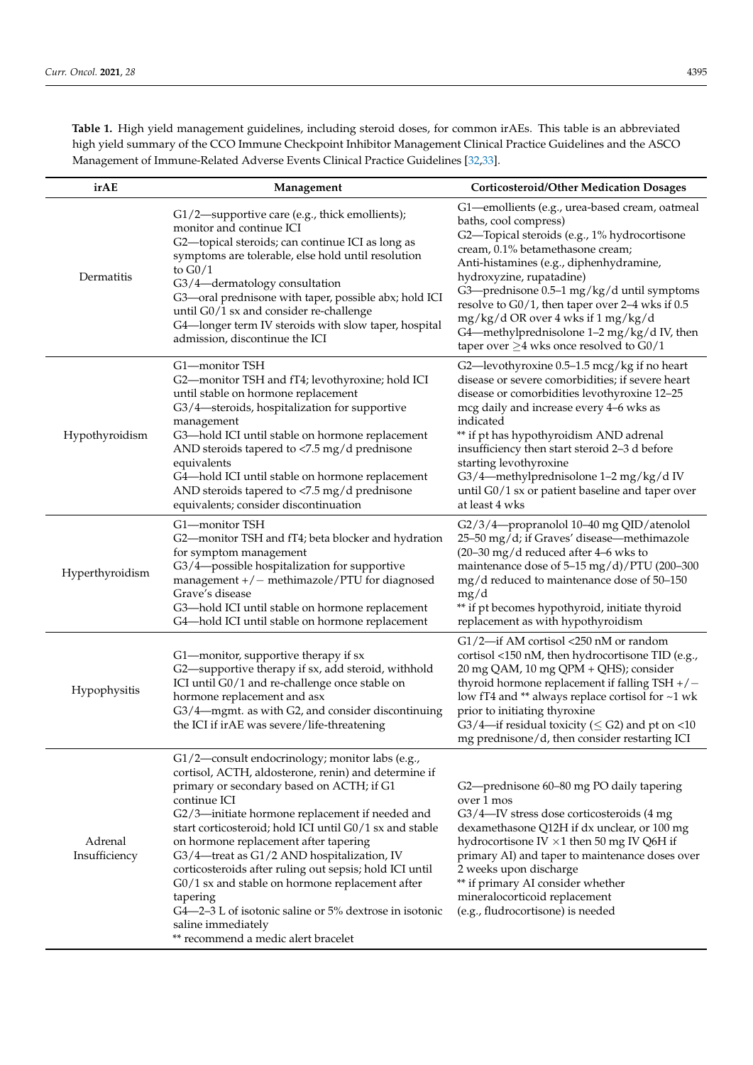**Table 1.** High yield management guidelines, including steroid doses, for common irAEs. This table is an abbreviated high yield summary of the CCO Immune Checkpoint Inhibitor Management Clinical Practice Guidelines and the ASCO Management of Immune-Related Adverse Events Clinical Practice Guidelines [\[32,](#page-13-8)[33\]](#page-13-9).

| irAE                     | Management<br><b>Corticosteroid/Other Medication Dosages</b>                                                                                                                                                                                                                                                                                                                                                                                                                                                                                                                                                               |                                                                                                                                                                                                                                                                                                                                                                                                                                                                          |  |
|--------------------------|----------------------------------------------------------------------------------------------------------------------------------------------------------------------------------------------------------------------------------------------------------------------------------------------------------------------------------------------------------------------------------------------------------------------------------------------------------------------------------------------------------------------------------------------------------------------------------------------------------------------------|--------------------------------------------------------------------------------------------------------------------------------------------------------------------------------------------------------------------------------------------------------------------------------------------------------------------------------------------------------------------------------------------------------------------------------------------------------------------------|--|
| Dermatitis               | G1/2-supportive care (e.g., thick emollients);<br>monitor and continue ICI<br>G2-topical steroids; can continue ICI as long as<br>symptoms are tolerable, else hold until resolution<br>to $G0/1$<br>G3/4-dermatology consultation<br>G3-oral prednisone with taper, possible abx; hold ICI<br>until G0/1 sx and consider re-challenge<br>G4-longer term IV steroids with slow taper, hospital<br>admission, discontinue the ICI                                                                                                                                                                                           | G1-emollients (e.g., urea-based cream, oatmeal<br>baths, cool compress)<br>G2-Topical steroids (e.g., 1% hydrocortisone<br>cream, 0.1% betamethasone cream;<br>Anti-histamines (e.g., diphenhydramine,<br>hydroxyzine, rupatadine)<br>G3-prednisone 0.5-1 mg/kg/d until symptoms<br>resolve to G0/1, then taper over 2-4 wks if 0.5<br>mg/kg/d OR over 4 wks if 1 mg/kg/d<br>G4-methylprednisolone 1-2 mg/kg/d IV, then<br>taper over $\geq$ 4 wks once resolved to G0/1 |  |
| Hypothyroidism           | G1-monitor TSH<br>G2-monitor TSH and fT4; levothyroxine; hold ICI<br>until stable on hormone replacement<br>G3/4-steroids, hospitalization for supportive<br>management<br>G3-hold ICI until stable on hormone replacement<br>AND steroids tapered to <7.5 mg/d prednisone<br>equivalents<br>G4-hold ICI until stable on hormone replacement<br>AND steroids tapered to <7.5 mg/d prednisone<br>equivalents; consider discontinuation                                                                                                                                                                                      | G2-levothyroxine 0.5-1.5 mcg/kg if no heart<br>disease or severe comorbidities; if severe heart<br>disease or comorbidities levothyroxine 12-25<br>mcg daily and increase every 4–6 wks as<br>indicated<br>** if pt has hypothyroidism AND adrenal<br>insufficiency then start steroid 2-3 d before<br>starting levothyroxine<br>G3/4-methylprednisolone 1-2 mg/kg/d IV<br>until G0/1 sx or patient baseline and taper over<br>at least 4 wks                            |  |
| Hyperthyroidism          | G1-monitor TSH<br>G2-monitor TSH and fT4; beta blocker and hydration<br>for symptom management<br>G3/4-possible hospitalization for supportive<br>management $+/-$ methimazole/PTU for diagnosed<br>Grave's disease<br>G3-hold ICI until stable on hormone replacement<br>G4-hold ICI until stable on hormone replacement                                                                                                                                                                                                                                                                                                  | G2/3/4-propranolol 10-40 mg QID/atenolol<br>25-50 mg/d; if Graves' disease-methimazole<br>$(20-30 \text{ mg/d} \cdot \text{reduced after } 4-6 \text{ wks to } 100)$<br>maintenance dose of 5-15 mg/d)/PTU (200-300<br>mg/d reduced to maintenance dose of 50-150<br>mg/d<br>** if pt becomes hypothyroid, initiate thyroid<br>replacement as with hypothyroidism                                                                                                        |  |
| Hypophysitis             | G1-monitor, supportive therapy if sx<br>G2-supportive therapy if sx, add steroid, withhold<br>ICI until G0/1 and re-challenge once stable on<br>hormone replacement and asx<br>G3/4-mgmt. as with G2, and consider discontinuing<br>the ICI if irAE was severe/life-threatening                                                                                                                                                                                                                                                                                                                                            | G1/2-if AM cortisol <250 nM or random<br>cortisol <150 nM, then hydrocortisone TID (e.g.,<br>20 mg QAM, 10 mg QPM + QHS); consider<br>thyroid hormone replacement if falling TSH $+/-$<br>low fT4 and ** always replace cortisol for ~1 wk<br>prior to initiating thyroxine<br>G3/4—if residual toxicity ( $\leq$ G2) and pt on <10<br>mg prednisone/d, then consider restarting ICI                                                                                     |  |
| Adrenal<br>Insufficiency | G1/2-consult endocrinology; monitor labs (e.g.,<br>cortisol, ACTH, aldosterone, renin) and determine if<br>primary or secondary based on ACTH; if G1<br>continue ICI<br>G2/3-initiate hormone replacement if needed and<br>start corticosteroid; hold ICI until G0/1 sx and stable<br>on hormone replacement after tapering<br>G3/4-treat as G1/2 AND hospitalization, IV<br>corticosteroids after ruling out sepsis; hold ICI until<br>G0/1 sx and stable on hormone replacement after<br>tapering<br>G4—2–3 L of isotonic saline or 5% dextrose in isotonic<br>saline immediately<br>** recommend a medic alert bracelet | G2—prednisone 60–80 mg PO daily tapering<br>over 1 mos<br>G3/4-IV stress dose corticosteroids (4 mg<br>dexamethasone Q12H if dx unclear, or 100 mg<br>hydrocortisone IV $\times$ 1 then 50 mg IV Q6H if<br>primary AI) and taper to maintenance doses over<br>2 weeks upon discharge<br>** if primary AI consider whether<br>mineralocorticoid replacement<br>(e.g., fludrocortisone) is needed                                                                          |  |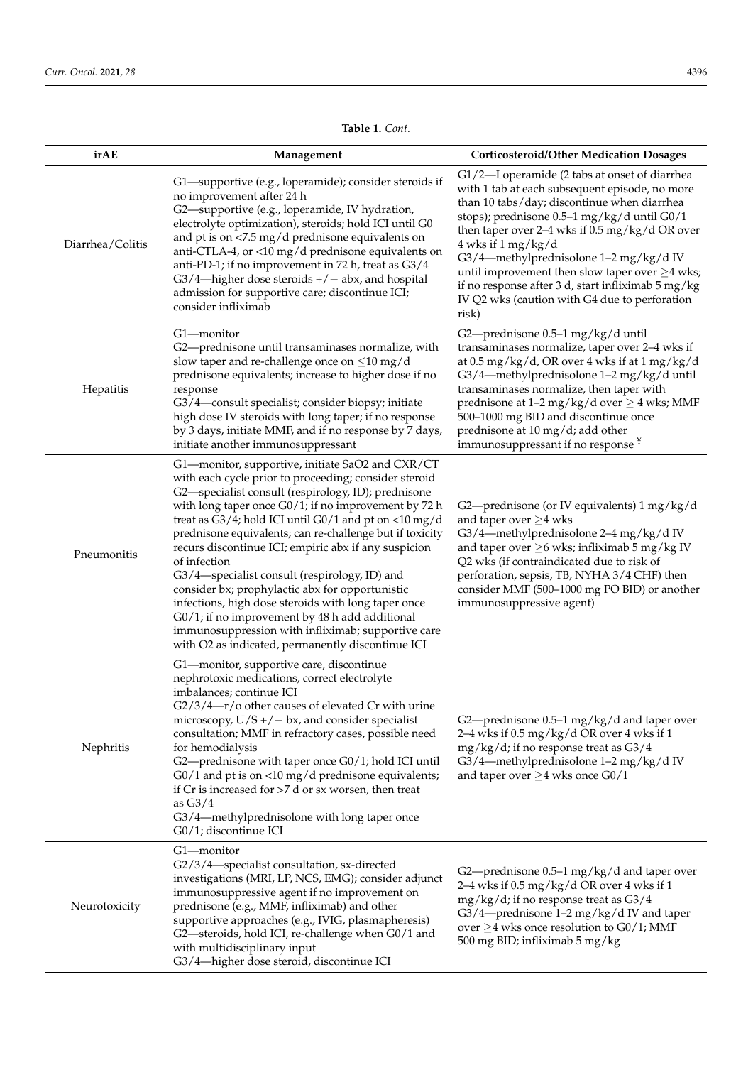| irAE             | Management                                                                                                                                                                                                                                                                                                                                                                                                                                                                                                                                                                                                                                                                                                                                                                                                             | <b>Corticosteroid/Other Medication Dosages</b>                                                                                                                                                                                                                                                                                                                                                                                                                                                 |  |
|------------------|------------------------------------------------------------------------------------------------------------------------------------------------------------------------------------------------------------------------------------------------------------------------------------------------------------------------------------------------------------------------------------------------------------------------------------------------------------------------------------------------------------------------------------------------------------------------------------------------------------------------------------------------------------------------------------------------------------------------------------------------------------------------------------------------------------------------|------------------------------------------------------------------------------------------------------------------------------------------------------------------------------------------------------------------------------------------------------------------------------------------------------------------------------------------------------------------------------------------------------------------------------------------------------------------------------------------------|--|
| Diarrhea/Colitis | G1-supportive (e.g., loperamide); consider steroids if<br>no improvement after 24 h<br>G2-supportive (e.g., loperamide, IV hydration,<br>electrolyte optimization), steroids; hold ICI until G0<br>and pt is on <7.5 mg/d prednisone equivalents on<br>anti-CTLA-4, or <10 mg/d prednisone equivalents on<br>anti-PD-1; if no improvement in 72 h, treat as G3/4<br>$G3/4$ —higher dose steroids $+/-$ abx, and hospital<br>admission for supportive care; discontinue ICI;<br>consider infliximab                                                                                                                                                                                                                                                                                                                     | G1/2—Loperamide (2 tabs at onset of diarrhea<br>with 1 tab at each subsequent episode, no more<br>than 10 tabs/day; discontinue when diarrhea<br>stops); prednisone 0.5-1 mg/kg/d until G0/1<br>then taper over $2-4$ wks if $0.5$ mg/kg/d OR over<br>$4$ wks if $1$ mg/kg/d<br>G3/4-methylprednisolone 1-2 mg/kg/d IV<br>until improvement then slow taper over $\geq$ 4 wks;<br>if no response after 3 d, start infliximab 5 mg/kg<br>IV Q2 wks (caution with G4 due to perforation<br>risk) |  |
| Hepatitis        | G1-monitor<br>G2-prednisone 0.5-1 mg/kg/d until<br>transaminases normalize, taper over 2-4 wks if<br>G2-prednisone until transaminases normalize, with<br>at $0.5$ mg/kg/d, OR over 4 wks if at $1$ mg/kg/d<br>slow taper and re-challenge once on $\leq$ 10 mg/d<br>prednisone equivalents; increase to higher dose if no<br>G3/4-methylprednisolone 1-2 mg/kg/d until<br>transaminases normalize, then taper with<br>response<br>G3/4-consult specialist; consider biopsy; initiate<br>prednisone at $1-2$ mg/kg/d over $\geq 4$ wks; MMF<br>high dose IV steroids with long taper; if no response<br>500-1000 mg BID and discontinue once<br>prednisone at 10 mg/d; add other<br>by 3 days, initiate MMF, and if no response by 7 days,<br>immunosuppressant if no response ¥<br>initiate another immunosuppressant |                                                                                                                                                                                                                                                                                                                                                                                                                                                                                                |  |
| Pneumonitis      | G1-monitor, supportive, initiate SaO2 and CXR/CT<br>with each cycle prior to proceeding; consider steroid<br>G2-specialist consult (respirology, ID); prednisone<br>with long taper once $G0/1$ ; if no improvement by 72 h<br>treat as $G3/4$ ; hold ICI until $G0/1$ and pt on <10 mg/d<br>prednisone equivalents; can re-challenge but if toxicity<br>recurs discontinue ICI; empiric abx if any suspicion<br>of infection<br>G3/4-specialist consult (respirology, ID) and<br>consider bx; prophylactic abx for opportunistic<br>infections, high dose steroids with long taper once<br>G0/1; if no improvement by 48 h add additional<br>immunosuppression with infliximab; supportive care<br>with O2 as indicated, permanently discontinue ICI                                                                  | G2—prednisone (or IV equivalents) 1 mg/kg/d<br>and taper over $\geq$ 4 wks<br>G3/4-methylprednisolone 2-4 mg/kg/d IV<br>and taper over $\geq$ 6 wks; infliximab 5 mg/kg IV<br>Q2 wks (if contraindicated due to risk of<br>perforation, sepsis, TB, NYHA 3/4 CHF) then<br>consider MMF (500-1000 mg PO BID) or another<br>immunosuppressive agent)                                                                                                                                             |  |
| Nephritis        | G1-monitor, supportive care, discontinue<br>nephrotoxic medications, correct electrolyte<br>imbalances; continue ICI<br>G2/3/4-r/o other causes of elevated Cr with urine<br>microscopy, $U/S + / - bx$ , and consider specialist<br>consultation; MMF in refractory cases, possible need<br>for hemodialysis<br>G2-prednisone with taper once G0/1; hold ICI until<br>$G0/1$ and pt is on <10 mg/d prednisone equivalents;<br>if $Cr$ is increased for $>7$ d or sx worsen, then treat<br>as $G3/4$<br>G3/4—methylprednisolone with long taper once<br>G0/1; discontinue ICI                                                                                                                                                                                                                                          | G2-prednisone 0.5-1 mg/kg/d and taper over<br>2-4 wks if 0.5 mg/kg/d OR over 4 wks if 1<br>$mg/kg/d$ ; if no response treat as $G3/4$<br>G3/4-methylprednisolone 1-2 mg/kg/d IV<br>and taper over $\geq$ 4 wks once G0/1                                                                                                                                                                                                                                                                       |  |
| Neurotoxicity    | G1-monitor<br>G2/3/4-specialist consultation, sx-directed<br>investigations (MRI, LP, NCS, EMG); consider adjunct<br>immunosuppressive agent if no improvement on<br>prednisone (e.g., MMF, infliximab) and other<br>supportive approaches (e.g., IVIG, plasmapheresis)<br>G2-steroids, hold ICI, re-challenge when G0/1 and<br>with multidisciplinary input<br>G3/4-higher dose steroid, discontinue ICI                                                                                                                                                                                                                                                                                                                                                                                                              | G2—prednisone $0.5-1$ mg/kg/d and taper over<br>2-4 wks if 0.5 mg/kg/d OR over 4 wks if 1<br>mg/kg/d; if no response treat as G3/4<br>G3/4—prednisone 1–2 mg/kg/d IV and taper<br>over $\geq$ 4 wks once resolution to G0/1; MMF<br>500 mg BID; infliximab 5 mg/kg                                                                                                                                                                                                                             |  |

### **Table 1.** *Cont.*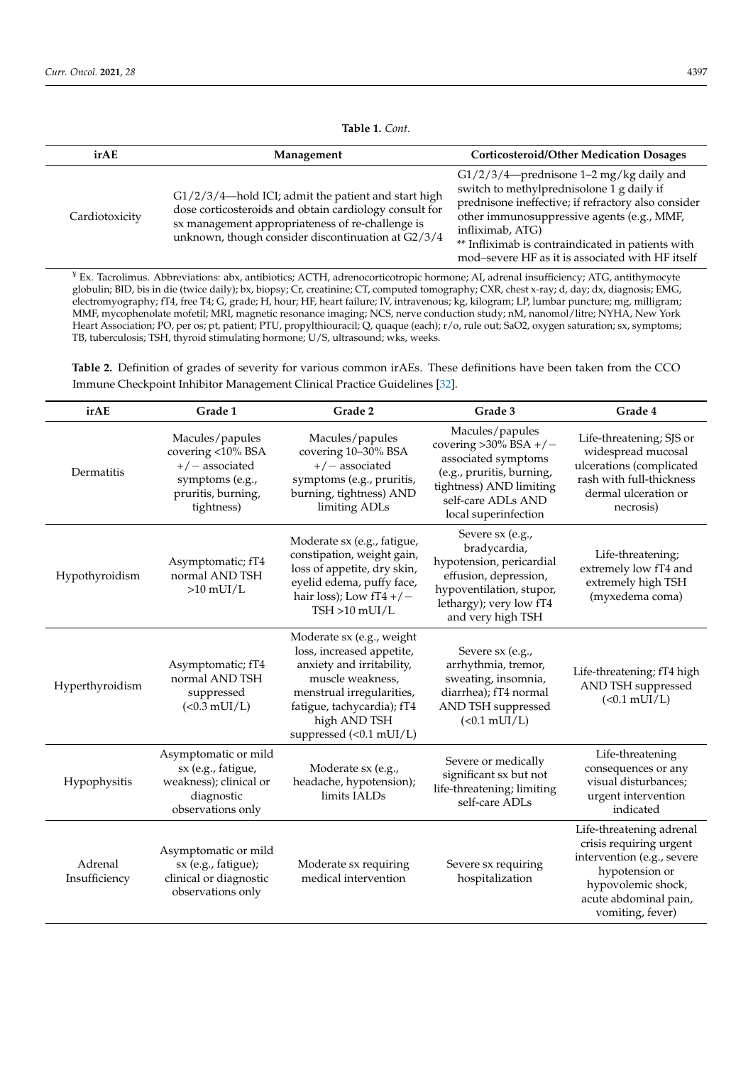<span id="page-5-0"></span>

| irAE           | Management                                                                                                                                                                                                              | <b>Corticosteroid/Other Medication Dosages</b>                                                                                                                                                                                                                                                                            |
|----------------|-------------------------------------------------------------------------------------------------------------------------------------------------------------------------------------------------------------------------|---------------------------------------------------------------------------------------------------------------------------------------------------------------------------------------------------------------------------------------------------------------------------------------------------------------------------|
| Cardiotoxicity | G1/2/3/4-hold ICI; admit the patient and start high<br>dose corticosteroids and obtain cardiology consult for<br>sx management appropriateness of re-challenge is<br>unknown, though consider discontinuation at G2/3/4 | $G1/2/3/4$ —prednisone 1–2 mg/kg daily and<br>switch to methylprednisolone 1 g daily if<br>prednisone ineffective; if refractory also consider<br>other immunosuppressive agents (e.g., MMF,<br>infliximab, ATG)<br>** Infliximab is contraindicated in patients with<br>mod-severe HF as it is associated with HF itself |

<sup>¥</sup> Ex. Tacrolimus. Abbreviations: abx, antibiotics; ACTH, adrenocorticotropic hormone; AI, adrenal insufficiency; ATG, antithymocyte globulin; BID, bis in die (twice daily); bx, biopsy; Cr, creatinine; CT, computed tomography; CXR, chest x-ray; d, day; dx, diagnosis; EMG, electromyography; fT4, free T4; G, grade; H, hour; HF, heart failure; IV, intravenous; kg, kilogram; LP, lumbar puncture; mg, milligram; MMF, mycophenolate mofetil; MRI, magnetic resonance imaging; NCS, nerve conduction study; nM, nanomol/litre; NYHA, New York Heart Association; PO, per os; pt, patient; PTU, propylthiouracil; Q, quaque (each); r/o, rule out; SaO2, oxygen saturation; sx, symptoms; TB, tuberculosis; TSH, thyroid stimulating hormone; U/S, ultrasound; wks, weeks.

**Table 2.** Definition of grades of severity for various common irAEs. These definitions have been taken from the CCO Immune Checkpoint Inhibitor Management Clinical Practice Guidelines [\[32\]](#page-13-8).

| irAE                     | Grade 1                                                                                                         | Grade 2                                                                                                                                                                                                       | Grade 3                                                                                                                                                                  | Grade 4                                                                                                                                                                |
|--------------------------|-----------------------------------------------------------------------------------------------------------------|---------------------------------------------------------------------------------------------------------------------------------------------------------------------------------------------------------------|--------------------------------------------------------------------------------------------------------------------------------------------------------------------------|------------------------------------------------------------------------------------------------------------------------------------------------------------------------|
| Dermatitis               | Macules/papules<br>covering <10% BSA<br>$+/-$ associated<br>symptoms (e.g.,<br>pruritis, burning,<br>tightness) | Macules/papules<br>covering 10-30% BSA<br>$+/-$ associated<br>symptoms (e.g., pruritis,<br>burning, tightness) AND<br>limiting ADLs                                                                           | Macules/papules<br>covering $>30\%$ BSA +/-<br>associated symptoms<br>(e.g., pruritis, burning,<br>tightness) AND limiting<br>self-care ADLs AND<br>local superinfection | Life-threatening; SJS or<br>widespread mucosal<br>ulcerations (complicated<br>rash with full-thickness<br>dermal ulceration or<br>necrosis)                            |
| Hypothyroidism           | Asymptomatic; fT4<br>normal AND TSH<br>$>10$ mUI/L                                                              | Moderate sx (e.g., fatigue,<br>constipation, weight gain,<br>loss of appetite, dry skin,<br>eyelid edema, puffy face,<br>hair loss); Low $fT4$ +/-<br>$TSH > 10$ mUI/L                                        | Severe sx (e.g.,<br>bradycardia,<br>hypotension, pericardial<br>effusion, depression,<br>hypoventilation, stupor,<br>lethargy); very low fT4<br>and very high TSH        | Life-threatening;<br>extremely low fT4 and<br>extremely high TSH<br>(myxedema coma)                                                                                    |
| Hyperthyroidism          | Asymptomatic; fT4<br>normal AND TSH<br>suppressed<br>$(<0.3$ mUI/L)                                             | Moderate sx (e.g., weight<br>loss, increased appetite,<br>anxiety and irritability,<br>muscle weakness.<br>menstrual irregularities,<br>fatigue, tachycardia); fT4<br>high AND TSH<br>suppressed (<0.1 mUI/L) | Severe sx (e.g.,<br>arrhythmia, tremor,<br>sweating, insomnia,<br>diarrhea); fT4 normal<br>AND TSH suppressed<br>$(0.1 \text{ mUI/L})$                                   | Life-threatening; fT4 high<br>AND TSH suppressed<br>$(<0.1$ mUI/L)                                                                                                     |
| Hypophysitis             | Asymptomatic or mild<br>sx (e.g., fatigue,<br>weakness); clinical or<br>diagnostic<br>observations only         | Moderate sx (e.g.,<br>headache, hypotension);<br>limits IALDs                                                                                                                                                 | Severe or medically<br>significant sx but not<br>life-threatening; limiting<br>self-care ADLs                                                                            | Life-threatening<br>consequences or any<br>visual disturbances;<br>urgent intervention<br>indicated                                                                    |
| Adrenal<br>Insufficiency | Asymptomatic or mild<br>sx (e.g., fatigue);<br>clinical or diagnostic<br>observations only                      | Moderate sx requiring<br>medical intervention                                                                                                                                                                 | Severe sx requiring<br>hospitalization                                                                                                                                   | Life-threatening adrenal<br>crisis requiring urgent<br>intervention (e.g., severe<br>hypotension or<br>hypovolemic shock,<br>acute abdominal pain,<br>vomiting, fever) |

**Table 1.** *Cont.*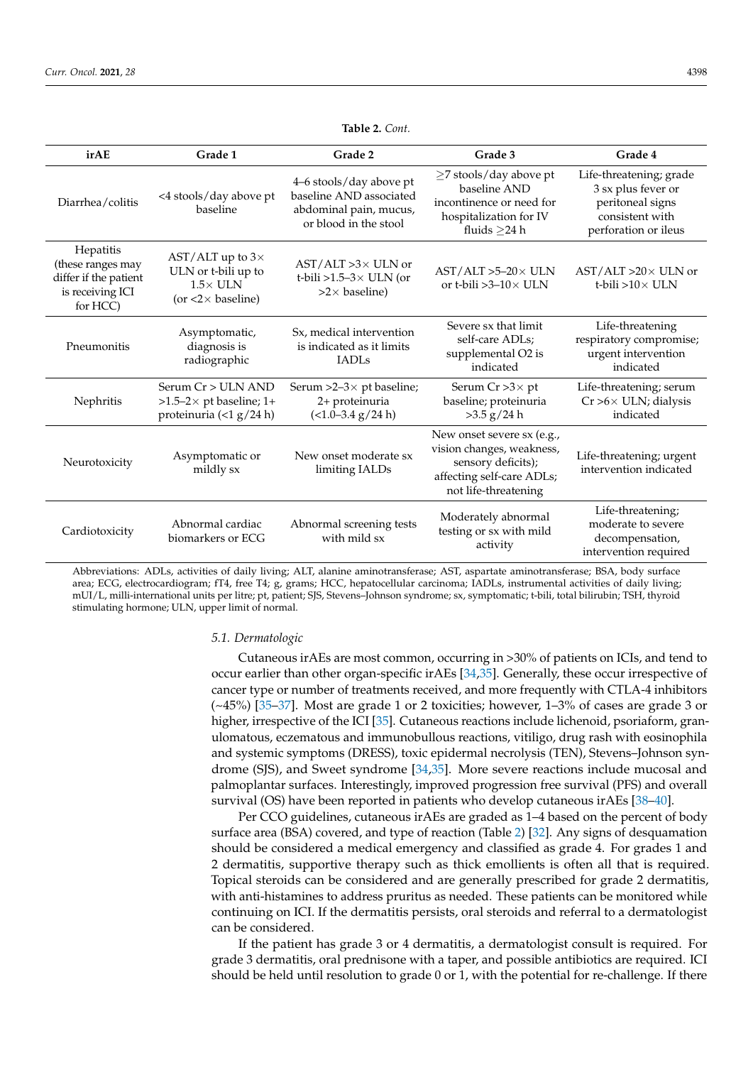<span id="page-6-0"></span>

| irAE                                                                                    | Grade 1                                                                                           | Grade 2                                                                                               | Grade 3                                                                                                                            | Grade 4                                                                                                      |
|-----------------------------------------------------------------------------------------|---------------------------------------------------------------------------------------------------|-------------------------------------------------------------------------------------------------------|------------------------------------------------------------------------------------------------------------------------------------|--------------------------------------------------------------------------------------------------------------|
| Diarrhea/colitis                                                                        | <4 stools/day above pt<br>baseline                                                                | 4-6 stools/day above pt<br>baseline AND associated<br>abdominal pain, mucus,<br>or blood in the stool | $\geq$ 7 stools/day above pt<br>baseline AND<br>incontinence or need for<br>hospitalization for IV<br>fluids $>24$ h               | Life-threatening; grade<br>3 sx plus fever or<br>peritoneal signs<br>consistent with<br>perforation or ileus |
| Hepatitis<br>(these ranges may<br>differ if the patient<br>is receiving ICI<br>for HCC) | AST/ALT up to $3\times$<br>ULN or t-bili up to<br>$1.5\times$ ULN<br>(or $<2\times$ baseline)     | $AST/ALT > 3 \times ULN$ or<br>t-bili >1.5-3 $\times$ ULN (or<br>$>2\times$ baseline)                 | $AST/ALT > 5-20 \times ULN$<br>or t-bili $>3-10\times$ ULN                                                                         | $AST/ALT > 20 \times ULN$ or<br>t-bili $>10\times$ ULN                                                       |
| Pneumonitis                                                                             | Asymptomatic,<br>diagnosis is<br>radiographic                                                     | Sx, medical intervention<br>is indicated as it limits<br><b>IADLS</b>                                 | Severe sx that limit<br>self-care ADLs;<br>supplemental O2 is<br>indicated                                                         | Life-threatening<br>respiratory compromise;<br>urgent intervention<br>indicated                              |
| Nephritis                                                                               | Serum $Cr > ULN$ AND<br>$>1.5-2\times$ pt baseline; 1+<br>proteinuria $\left( < 1 g/24 h \right)$ | Serum >2-3 $\times$ pt baseline;<br>2+ proteinuria<br>$(<1.0-3.4 g/24 h)$                             | Serum $Cr > 3 \times pt$<br>baseline; proteinuria<br>$>3.5$ g/24 h                                                                 | Life-threatening; serum<br>$Cr > 6 \times$ ULN; dialysis<br>indicated                                        |
| Neurotoxicity                                                                           | Asymptomatic or<br>mildly sx                                                                      | New onset moderate sx<br>limiting IALDs                                                               | New onset severe sx (e.g.,<br>vision changes, weakness,<br>sensory deficits);<br>affecting self-care ADLs;<br>not life-threatening | Life-threatening; urgent<br>intervention indicated                                                           |
| Cardiotoxicity                                                                          | Abnormal cardiac<br>biomarkers or ECG                                                             | Abnormal screening tests<br>with mild sx                                                              | Moderately abnormal<br>testing or sx with mild<br>activity                                                                         | Life-threatening;<br>moderate to severe<br>decompensation,<br>intervention required                          |

**Table 2.** *Cont.*

Abbreviations: ADLs, activities of daily living; ALT, alanine aminotransferase; AST, aspartate aminotransferase; BSA, body surface area; ECG, electrocardiogram; fT4, free T4; g, grams; HCC, hepatocellular carcinoma; IADLs, instrumental activities of daily living; mUI/L, milli-international units per litre; pt, patient; SJS, Stevens–Johnson syndrome; sx, symptomatic; t-bili, total bilirubin; TSH, thyroid stimulating hormone; ULN, upper limit of normal.

#### *5.1. Dermatologic*

Cutaneous irAEs are most common, occurring in >30% of patients on ICIs, and tend to occur earlier than other organ-specific irAEs [\[34](#page-13-10)[,35\]](#page-13-11). Generally, these occur irrespective of cancer type or number of treatments received, and more frequently with CTLA-4 inhibitors  $(\sim45\%)$  [\[35–](#page-13-11)[37\]](#page-13-12). Most are grade 1 or 2 toxicities; however, 1–3% of cases are grade 3 or higher, irrespective of the ICI [\[35\]](#page-13-11). Cutaneous reactions include lichenoid, psoriaform, granulomatous, eczematous and immunobullous reactions, vitiligo, drug rash with eosinophila and systemic symptoms (DRESS), toxic epidermal necrolysis (TEN), Stevens–Johnson syndrome (SJS), and Sweet syndrome [\[34](#page-13-10)[,35\]](#page-13-11). More severe reactions include mucosal and palmoplantar surfaces. Interestingly, improved progression free survival (PFS) and overall survival (OS) have been reported in patients who develop cutaneous irAEs [\[38–](#page-13-13)[40\]](#page-13-14).

Per CCO guidelines, cutaneous irAEs are graded as 1–4 based on the percent of body surface area (BSA) covered, and type of reaction (Table [2\)](#page-6-0) [\[32\]](#page-13-8). Any signs of desquamation should be considered a medical emergency and classified as grade 4. For grades 1 and 2 dermatitis, supportive therapy such as thick emollients is often all that is required. Topical steroids can be considered and are generally prescribed for grade 2 dermatitis, with anti-histamines to address pruritus as needed. These patients can be monitored while continuing on ICI. If the dermatitis persists, oral steroids and referral to a dermatologist can be considered.

If the patient has grade 3 or 4 dermatitis, a dermatologist consult is required. For grade 3 dermatitis, oral prednisone with a taper, and possible antibiotics are required. ICI should be held until resolution to grade 0 or 1, with the potential for re-challenge. If there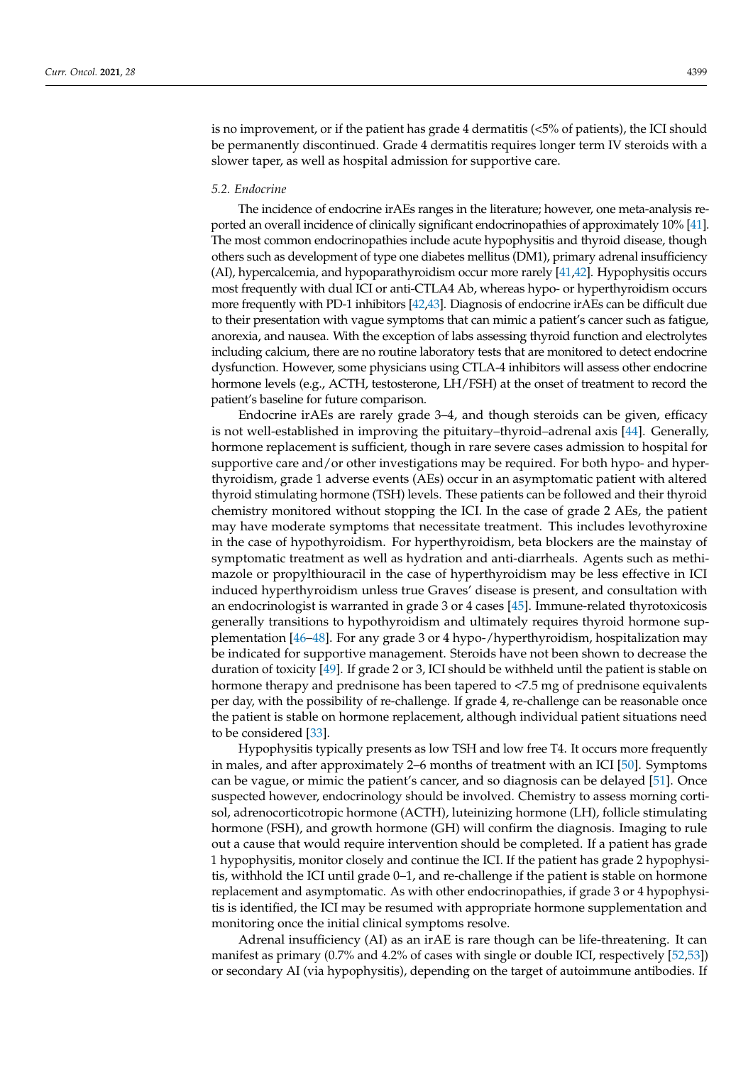is no improvement, or if the patient has grade 4 dermatitis (<5% of patients), the ICI should be permanently discontinued. Grade 4 dermatitis requires longer term IV steroids with a slower taper, as well as hospital admission for supportive care.

#### *5.2. Endocrine*

The incidence of endocrine irAEs ranges in the literature; however, one meta-analysis reported an overall incidence of clinically significant endocrinopathies of approximately 10% [\[41\]](#page-13-15). The most common endocrinopathies include acute hypophysitis and thyroid disease, though others such as development of type one diabetes mellitus (DM1), primary adrenal insufficiency (AI), hypercalcemia, and hypoparathyroidism occur more rarely [\[41](#page-13-15)[,42\]](#page-13-16). Hypophysitis occurs most frequently with dual ICI or anti-CTLA4 Ab, whereas hypo- or hyperthyroidism occurs more frequently with PD-1 inhibitors [\[42](#page-13-16)[,43\]](#page-14-0). Diagnosis of endocrine irAEs can be difficult due to their presentation with vague symptoms that can mimic a patient's cancer such as fatigue, anorexia, and nausea. With the exception of labs assessing thyroid function and electrolytes including calcium, there are no routine laboratory tests that are monitored to detect endocrine dysfunction. However, some physicians using CTLA-4 inhibitors will assess other endocrine hormone levels (e.g., ACTH, testosterone, LH/FSH) at the onset of treatment to record the patient's baseline for future comparison.

Endocrine irAEs are rarely grade 3–4, and though steroids can be given, efficacy is not well-established in improving the pituitary–thyroid–adrenal axis [\[44\]](#page-14-1). Generally, hormone replacement is sufficient, though in rare severe cases admission to hospital for supportive care and/or other investigations may be required. For both hypo- and hyperthyroidism, grade 1 adverse events (AEs) occur in an asymptomatic patient with altered thyroid stimulating hormone (TSH) levels. These patients can be followed and their thyroid chemistry monitored without stopping the ICI. In the case of grade 2 AEs, the patient may have moderate symptoms that necessitate treatment. This includes levothyroxine in the case of hypothyroidism. For hyperthyroidism, beta blockers are the mainstay of symptomatic treatment as well as hydration and anti-diarrheals. Agents such as methimazole or propylthiouracil in the case of hyperthyroidism may be less effective in ICI induced hyperthyroidism unless true Graves' disease is present, and consultation with an endocrinologist is warranted in grade 3 or 4 cases [\[45\]](#page-14-2). Immune-related thyrotoxicosis generally transitions to hypothyroidism and ultimately requires thyroid hormone supplementation [\[46](#page-14-3)[–48\]](#page-14-4). For any grade 3 or 4 hypo-/hyperthyroidism, hospitalization may be indicated for supportive management. Steroids have not been shown to decrease the duration of toxicity [\[49\]](#page-14-5). If grade 2 or 3, ICI should be withheld until the patient is stable on hormone therapy and prednisone has been tapered to <7.5 mg of prednisone equivalents per day, with the possibility of re-challenge. If grade 4, re-challenge can be reasonable once the patient is stable on hormone replacement, although individual patient situations need to be considered [\[33\]](#page-13-9).

Hypophysitis typically presents as low TSH and low free T4. It occurs more frequently in males, and after approximately 2–6 months of treatment with an ICI [\[50\]](#page-14-6). Symptoms can be vague, or mimic the patient's cancer, and so diagnosis can be delayed [\[51\]](#page-14-7). Once suspected however, endocrinology should be involved. Chemistry to assess morning cortisol, adrenocorticotropic hormone (ACTH), luteinizing hormone (LH), follicle stimulating hormone (FSH), and growth hormone (GH) will confirm the diagnosis. Imaging to rule out a cause that would require intervention should be completed. If a patient has grade 1 hypophysitis, monitor closely and continue the ICI. If the patient has grade 2 hypophysitis, withhold the ICI until grade 0–1, and re-challenge if the patient is stable on hormone replacement and asymptomatic. As with other endocrinopathies, if grade 3 or 4 hypophysitis is identified, the ICI may be resumed with appropriate hormone supplementation and monitoring once the initial clinical symptoms resolve.

Adrenal insufficiency (AI) as an irAE is rare though can be life-threatening. It can manifest as primary (0.7% and 4.2% of cases with single or double ICI, respectively [\[52](#page-14-8)[,53\]](#page-14-9)) or secondary AI (via hypophysitis), depending on the target of autoimmune antibodies. If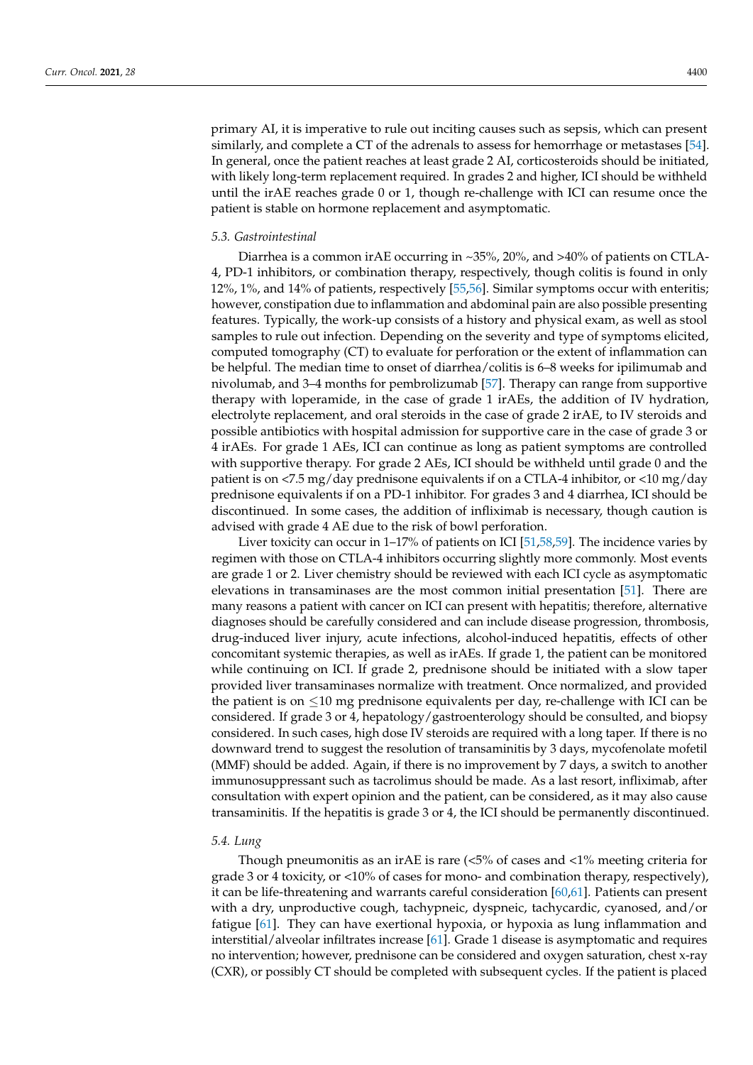similarly, and complete a CT of the adrenals to assess for hemorrhage or metastases [\[54\]](#page-14-10). In general, once the patient reaches at least grade 2 AI, corticosteroids should be initiated, with likely long-term replacement required. In grades 2 and higher, ICI should be withheld until the irAE reaches grade 0 or 1, though re-challenge with ICI can resume once the patient is stable on hormone replacement and asymptomatic.

#### *5.3. Gastrointestinal*

Diarrhea is a common irAE occurring in ~35%, 20%, and >40% of patients on CTLA-4, PD-1 inhibitors, or combination therapy, respectively, though colitis is found in only 12%, 1%, and 14% of patients, respectively [\[55,](#page-14-11)[56\]](#page-14-12). Similar symptoms occur with enteritis; however, constipation due to inflammation and abdominal pain are also possible presenting features. Typically, the work-up consists of a history and physical exam, as well as stool samples to rule out infection. Depending on the severity and type of symptoms elicited, computed tomography (CT) to evaluate for perforation or the extent of inflammation can be helpful. The median time to onset of diarrhea/colitis is 6–8 weeks for ipilimumab and nivolumab, and 3–4 months for pembrolizumab [\[57\]](#page-14-13). Therapy can range from supportive therapy with loperamide, in the case of grade 1 irAEs, the addition of IV hydration, electrolyte replacement, and oral steroids in the case of grade 2 irAE, to IV steroids and possible antibiotics with hospital admission for supportive care in the case of grade 3 or 4 irAEs. For grade 1 AEs, ICI can continue as long as patient symptoms are controlled with supportive therapy. For grade 2 AEs, ICI should be withheld until grade 0 and the patient is on  $\langle 7.5 \text{ mg/day} \rangle$  prednisone equivalents if on a CTLA-4 inhibitor, or  $\langle 10 \text{ mg/day} \rangle$ prednisone equivalents if on a PD-1 inhibitor. For grades 3 and 4 diarrhea, ICI should be discontinued. In some cases, the addition of infliximab is necessary, though caution is advised with grade 4 AE due to the risk of bowl perforation.

Liver toxicity can occur in 1–17% of patients on ICI [\[51](#page-14-7)[,58,](#page-14-14)[59\]](#page-14-15). The incidence varies by regimen with those on CTLA-4 inhibitors occurring slightly more commonly. Most events are grade 1 or 2. Liver chemistry should be reviewed with each ICI cycle as asymptomatic elevations in transaminases are the most common initial presentation [\[51\]](#page-14-7). There are many reasons a patient with cancer on ICI can present with hepatitis; therefore, alternative diagnoses should be carefully considered and can include disease progression, thrombosis, drug-induced liver injury, acute infections, alcohol-induced hepatitis, effects of other concomitant systemic therapies, as well as irAEs. If grade 1, the patient can be monitored while continuing on ICI. If grade 2, prednisone should be initiated with a slow taper provided liver transaminases normalize with treatment. Once normalized, and provided the patient is on  $\leq 10$  mg prednisone equivalents per day, re-challenge with ICI can be considered. If grade 3 or 4, hepatology/gastroenterology should be consulted, and biopsy considered. In such cases, high dose IV steroids are required with a long taper. If there is no downward trend to suggest the resolution of transaminitis by 3 days, mycofenolate mofetil (MMF) should be added. Again, if there is no improvement by 7 days, a switch to another immunosuppressant such as tacrolimus should be made. As a last resort, infliximab, after consultation with expert opinion and the patient, can be considered, as it may also cause transaminitis. If the hepatitis is grade 3 or 4, the ICI should be permanently discontinued.

#### *5.4. Lung*

Though pneumonitis as an irAE is rare  $\langle 5\%$  of cases and  $\langle 1\%$  meeting criteria for grade 3 or 4 toxicity, or <10% of cases for mono- and combination therapy, respectively), it can be life-threatening and warrants careful consideration [\[60,](#page-14-16)[61\]](#page-14-17). Patients can present with a dry, unproductive cough, tachypneic, dyspneic, tachycardic, cyanosed, and/or fatigue [\[61\]](#page-14-17). They can have exertional hypoxia, or hypoxia as lung inflammation and interstitial/alveolar infiltrates increase [\[61\]](#page-14-17). Grade 1 disease is asymptomatic and requires no intervention; however, prednisone can be considered and oxygen saturation, chest x-ray (CXR), or possibly CT should be completed with subsequent cycles. If the patient is placed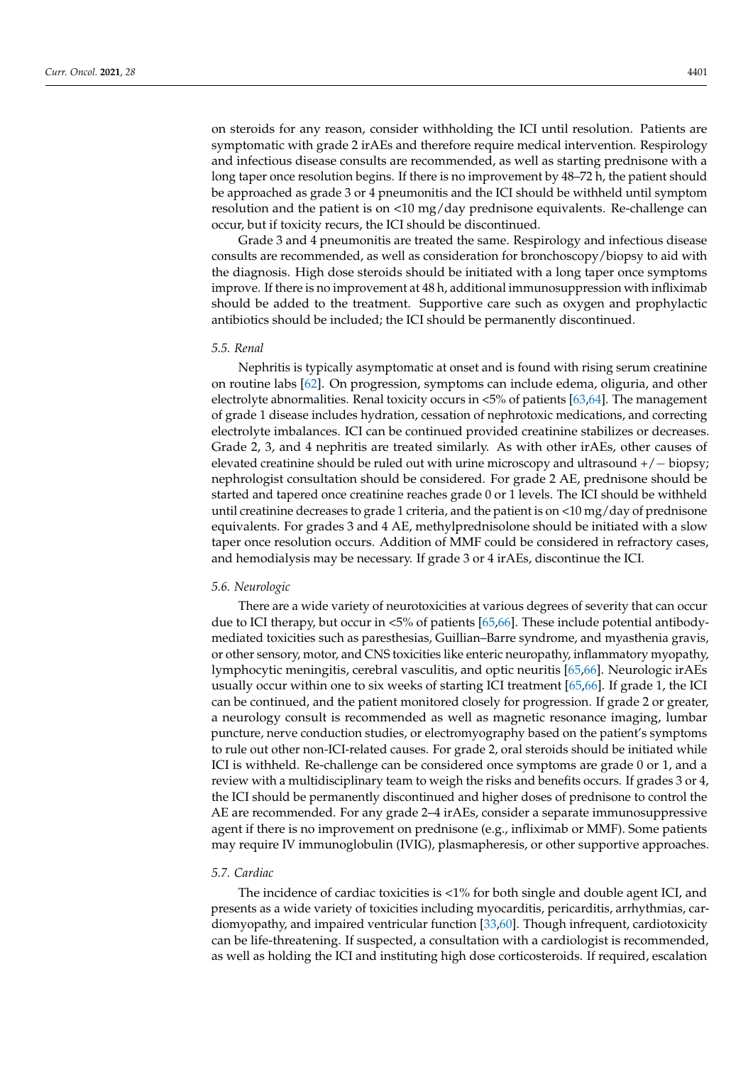on steroids for any reason, consider withholding the ICI until resolution. Patients are symptomatic with grade 2 irAEs and therefore require medical intervention. Respirology and infectious disease consults are recommended, as well as starting prednisone with a long taper once resolution begins. If there is no improvement by 48–72 h, the patient should be approached as grade 3 or 4 pneumonitis and the ICI should be withheld until symptom resolution and the patient is on <10 mg/day prednisone equivalents. Re-challenge can occur, but if toxicity recurs, the ICI should be discontinued.

Grade 3 and 4 pneumonitis are treated the same. Respirology and infectious disease consults are recommended, as well as consideration for bronchoscopy/biopsy to aid with the diagnosis. High dose steroids should be initiated with a long taper once symptoms improve. If there is no improvement at 48 h, additional immunosuppression with infliximab should be added to the treatment. Supportive care such as oxygen and prophylactic antibiotics should be included; the ICI should be permanently discontinued.

#### *5.5. Renal*

Nephritis is typically asymptomatic at onset and is found with rising serum creatinine on routine labs [\[62\]](#page-14-18). On progression, symptoms can include edema, oliguria, and other electrolyte abnormalities. Renal toxicity occurs in <5% of patients [\[63,](#page-14-19)[64\]](#page-14-20). The management of grade 1 disease includes hydration, cessation of nephrotoxic medications, and correcting electrolyte imbalances. ICI can be continued provided creatinine stabilizes or decreases. Grade 2, 3, and 4 nephritis are treated similarly. As with other irAEs, other causes of elevated creatinine should be ruled out with urine microscopy and ultrasound +/− biopsy; nephrologist consultation should be considered. For grade 2 AE, prednisone should be started and tapered once creatinine reaches grade 0 or 1 levels. The ICI should be withheld until creatinine decreases to grade 1 criteria, and the patient is on  $\langle 10 \text{ mg}/\text{day}$  of prednisone equivalents. For grades 3 and 4 AE, methylprednisolone should be initiated with a slow taper once resolution occurs. Addition of MMF could be considered in refractory cases, and hemodialysis may be necessary. If grade 3 or 4 irAEs, discontinue the ICI.

#### *5.6. Neurologic*

There are a wide variety of neurotoxicities at various degrees of severity that can occur due to ICI therapy, but occur in <5% of patients [\[65](#page-14-21)[,66\]](#page-14-22). These include potential antibodymediated toxicities such as paresthesias, Guillian–Barre syndrome, and myasthenia gravis, or other sensory, motor, and CNS toxicities like enteric neuropathy, inflammatory myopathy, lymphocytic meningitis, cerebral vasculitis, and optic neuritis [\[65](#page-14-21)[,66\]](#page-14-22). Neurologic irAEs usually occur within one to six weeks of starting ICI treatment [\[65,](#page-14-21)[66\]](#page-14-22). If grade 1, the ICI can be continued, and the patient monitored closely for progression. If grade 2 or greater, a neurology consult is recommended as well as magnetic resonance imaging, lumbar puncture, nerve conduction studies, or electromyography based on the patient's symptoms to rule out other non-ICI-related causes. For grade 2, oral steroids should be initiated while ICI is withheld. Re-challenge can be considered once symptoms are grade 0 or 1, and a review with a multidisciplinary team to weigh the risks and benefits occurs. If grades 3 or 4, the ICI should be permanently discontinued and higher doses of prednisone to control the AE are recommended. For any grade 2–4 irAEs, consider a separate immunosuppressive agent if there is no improvement on prednisone (e.g., infliximab or MMF). Some patients may require IV immunoglobulin (IVIG), plasmapheresis, or other supportive approaches.

## *5.7. Cardiac*

The incidence of cardiac toxicities is <1% for both single and double agent ICI, and presents as a wide variety of toxicities including myocarditis, pericarditis, arrhythmias, cardiomyopathy, and impaired ventricular function [\[33,](#page-13-9)[60\]](#page-14-16). Though infrequent, cardiotoxicity can be life-threatening. If suspected, a consultation with a cardiologist is recommended, as well as holding the ICI and instituting high dose corticosteroids. If required, escalation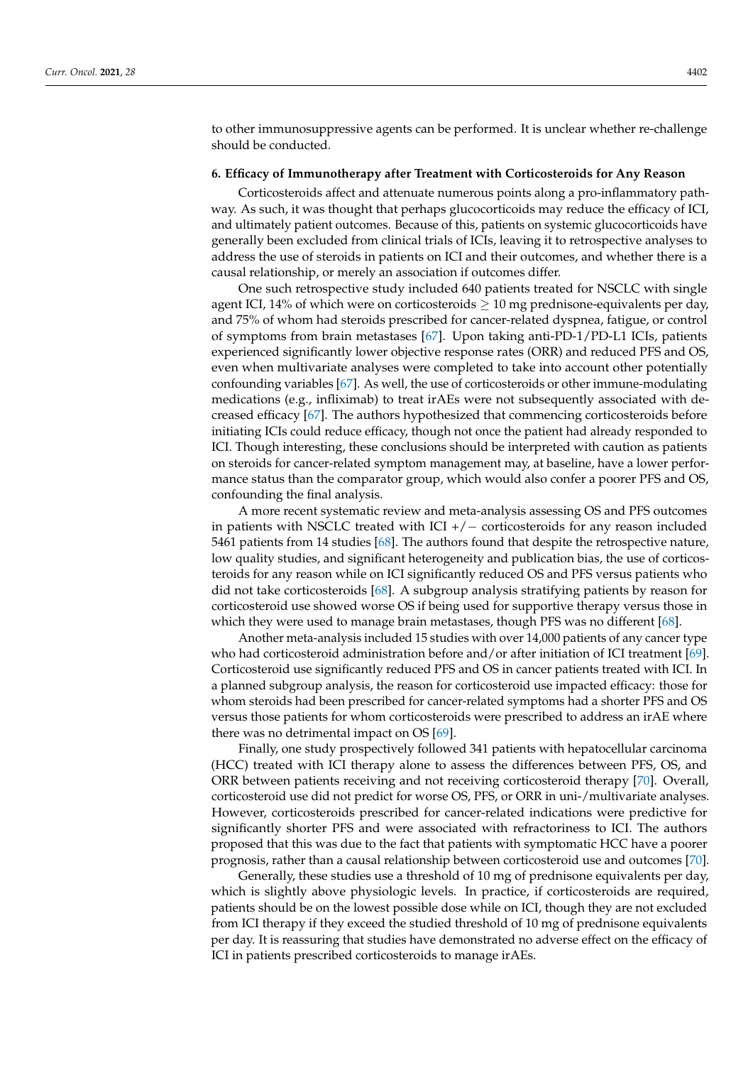to other immunosuppressive agents can be performed. It is unclear whether re-challenge should be conducted.

#### **6. Efficacy of Immunotherapy after Treatment with Corticosteroids for Any Reason**

Corticosteroids affect and attenuate numerous points along a pro-inflammatory pathway. As such, it was thought that perhaps glucocorticoids may reduce the efficacy of ICI, and ultimately patient outcomes. Because of this, patients on systemic glucocorticoids have generally been excluded from clinical trials of ICIs, leaving it to retrospective analyses to address the use of steroids in patients on ICI and their outcomes, and whether there is a causal relationship, or merely an association if outcomes differ.

One such retrospective study included 640 patients treated for NSCLC with single agent ICI, 14% of which were on corticosteroids  $\geq 10$  mg prednisone-equivalents per day, and 75% of whom had steroids prescribed for cancer-related dyspnea, fatigue, or control of symptoms from brain metastases [\[67\]](#page-15-0). Upon taking anti-PD-1/PD-L1 ICIs, patients experienced significantly lower objective response rates (ORR) and reduced PFS and OS, even when multivariate analyses were completed to take into account other potentially confounding variables [\[67\]](#page-15-0). As well, the use of corticosteroids or other immune-modulating medications (e.g., infliximab) to treat irAEs were not subsequently associated with decreased efficacy [\[67\]](#page-15-0). The authors hypothesized that commencing corticosteroids before initiating ICIs could reduce efficacy, though not once the patient had already responded to ICI. Though interesting, these conclusions should be interpreted with caution as patients on steroids for cancer-related symptom management may, at baseline, have a lower performance status than the comparator group, which would also confer a poorer PFS and OS, confounding the final analysis.

A more recent systematic review and meta-analysis assessing OS and PFS outcomes in patients with NSCLC treated with  $ICI + / –$  corticosteroids for any reason included 5461 patients from 14 studies [\[68\]](#page-15-1). The authors found that despite the retrospective nature, low quality studies, and significant heterogeneity and publication bias, the use of corticosteroids for any reason while on ICI significantly reduced OS and PFS versus patients who did not take corticosteroids [\[68\]](#page-15-1). A subgroup analysis stratifying patients by reason for corticosteroid use showed worse OS if being used for supportive therapy versus those in which they were used to manage brain metastases, though PFS was no different [\[68\]](#page-15-1).

Another meta-analysis included 15 studies with over 14,000 patients of any cancer type who had corticosteroid administration before and/or after initiation of ICI treatment [\[69\]](#page-15-2). Corticosteroid use significantly reduced PFS and OS in cancer patients treated with ICI. In a planned subgroup analysis, the reason for corticosteroid use impacted efficacy: those for whom steroids had been prescribed for cancer-related symptoms had a shorter PFS and OS versus those patients for whom corticosteroids were prescribed to address an irAE where there was no detrimental impact on OS [\[69\]](#page-15-2).

Finally, one study prospectively followed 341 patients with hepatocellular carcinoma (HCC) treated with ICI therapy alone to assess the differences between PFS, OS, and ORR between patients receiving and not receiving corticosteroid therapy [\[70\]](#page-15-3). Overall, corticosteroid use did not predict for worse OS, PFS, or ORR in uni-/multivariate analyses. However, corticosteroids prescribed for cancer-related indications were predictive for significantly shorter PFS and were associated with refractoriness to ICI. The authors proposed that this was due to the fact that patients with symptomatic HCC have a poorer prognosis, rather than a causal relationship between corticosteroid use and outcomes [\[70\]](#page-15-3).

Generally, these studies use a threshold of 10 mg of prednisone equivalents per day, which is slightly above physiologic levels. In practice, if corticosteroids are required, patients should be on the lowest possible dose while on ICI, though they are not excluded from ICI therapy if they exceed the studied threshold of 10 mg of prednisone equivalents per day. It is reassuring that studies have demonstrated no adverse effect on the efficacy of ICI in patients prescribed corticosteroids to manage irAEs.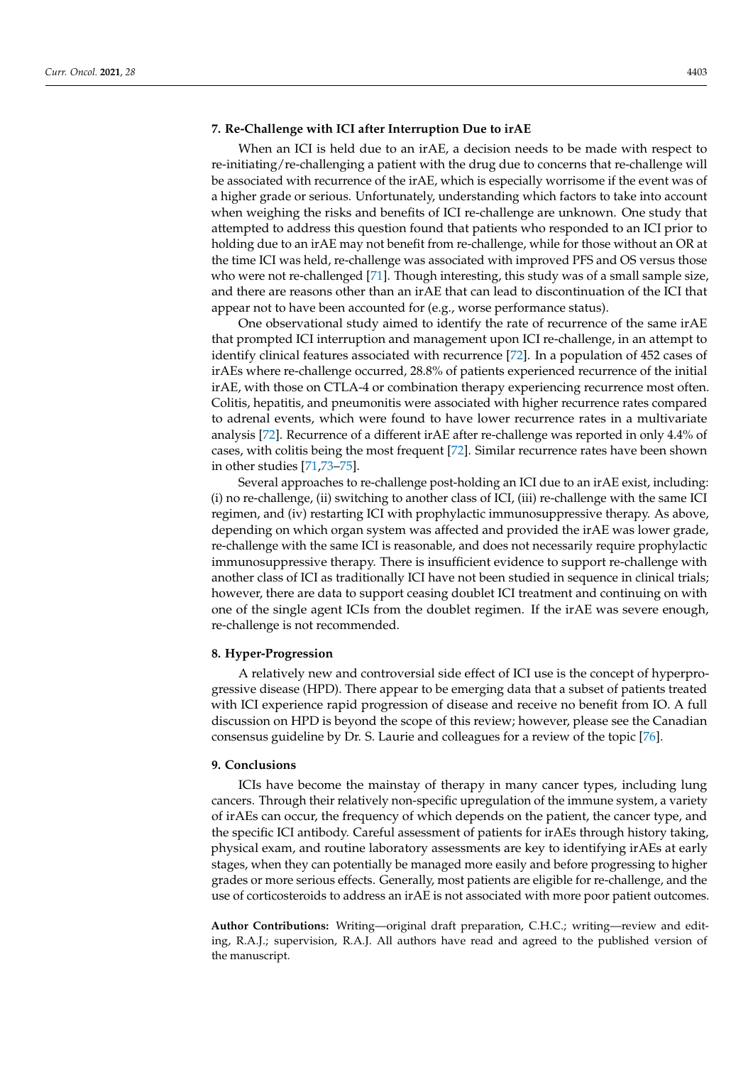#### **7. Re-Challenge with ICI after Interruption Due to irAE**

When an ICI is held due to an irAE, a decision needs to be made with respect to re-initiating/re-challenging a patient with the drug due to concerns that re-challenge will be associated with recurrence of the irAE, which is especially worrisome if the event was of a higher grade or serious. Unfortunately, understanding which factors to take into account when weighing the risks and benefits of ICI re-challenge are unknown. One study that attempted to address this question found that patients who responded to an ICI prior to holding due to an irAE may not benefit from re-challenge, while for those without an OR at the time ICI was held, re-challenge was associated with improved PFS and OS versus those who were not re-challenged [\[71\]](#page-15-4). Though interesting, this study was of a small sample size, and there are reasons other than an irAE that can lead to discontinuation of the ICI that appear not to have been accounted for (e.g., worse performance status).

One observational study aimed to identify the rate of recurrence of the same irAE that prompted ICI interruption and management upon ICI re-challenge, in an attempt to identify clinical features associated with recurrence [\[72\]](#page-15-5). In a population of 452 cases of irAEs where re-challenge occurred, 28.8% of patients experienced recurrence of the initial irAE, with those on CTLA-4 or combination therapy experiencing recurrence most often. Colitis, hepatitis, and pneumonitis were associated with higher recurrence rates compared to adrenal events, which were found to have lower recurrence rates in a multivariate analysis [\[72\]](#page-15-5). Recurrence of a different irAE after re-challenge was reported in only 4.4% of cases, with colitis being the most frequent [\[72\]](#page-15-5). Similar recurrence rates have been shown in other studies [\[71](#page-15-4)[,73–](#page-15-6)[75\]](#page-15-7).

Several approaches to re-challenge post-holding an ICI due to an irAE exist, including: (i) no re-challenge, (ii) switching to another class of ICI, (iii) re-challenge with the same ICI regimen, and (iv) restarting ICI with prophylactic immunosuppressive therapy. As above, depending on which organ system was affected and provided the irAE was lower grade, re-challenge with the same ICI is reasonable, and does not necessarily require prophylactic immunosuppressive therapy. There is insufficient evidence to support re-challenge with another class of ICI as traditionally ICI have not been studied in sequence in clinical trials; however, there are data to support ceasing doublet ICI treatment and continuing on with one of the single agent ICIs from the doublet regimen. If the irAE was severe enough, re-challenge is not recommended.

#### **8. Hyper-Progression**

A relatively new and controversial side effect of ICI use is the concept of hyperprogressive disease (HPD). There appear to be emerging data that a subset of patients treated with ICI experience rapid progression of disease and receive no benefit from IO. A full discussion on HPD is beyond the scope of this review; however, please see the Canadian consensus guideline by Dr. S. Laurie and colleagues for a review of the topic [\[76\]](#page-15-8).

#### **9. Conclusions**

ICIs have become the mainstay of therapy in many cancer types, including lung cancers. Through their relatively non-specific upregulation of the immune system, a variety of irAEs can occur, the frequency of which depends on the patient, the cancer type, and the specific ICI antibody. Careful assessment of patients for irAEs through history taking, physical exam, and routine laboratory assessments are key to identifying irAEs at early stages, when they can potentially be managed more easily and before progressing to higher grades or more serious effects. Generally, most patients are eligible for re-challenge, and the use of corticosteroids to address an irAE is not associated with more poor patient outcomes.

**Author Contributions:** Writing—original draft preparation, C.H.C.; writing—review and editing, R.A.J.; supervision, R.A.J. All authors have read and agreed to the published version of the manuscript.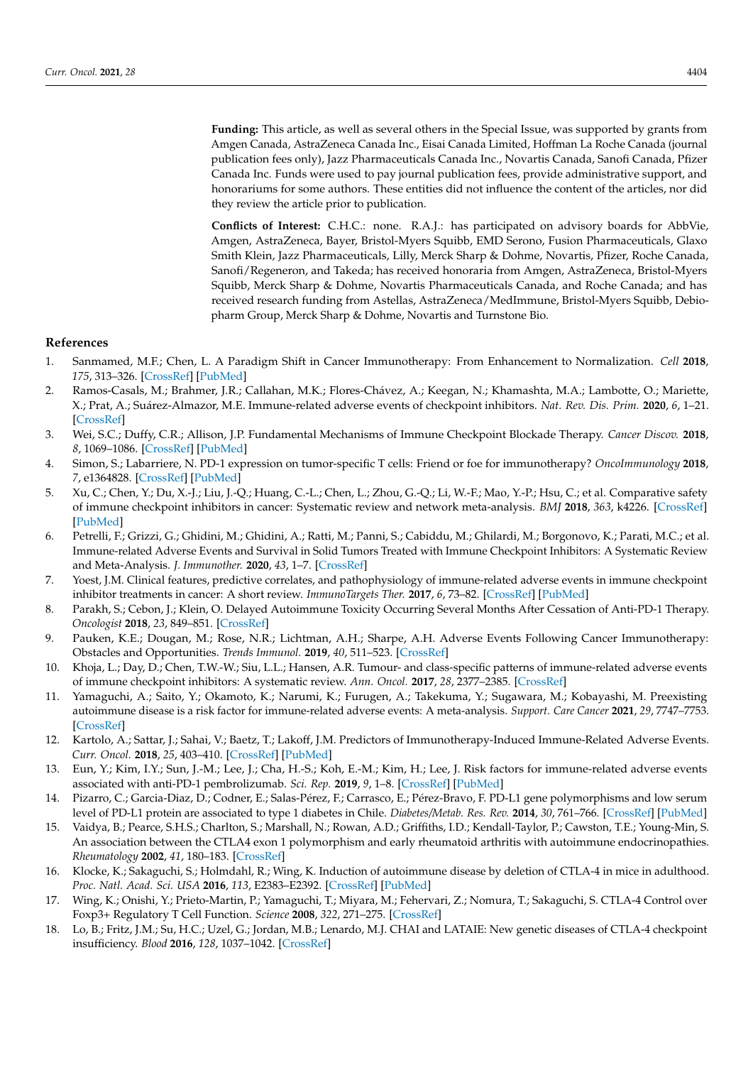**Funding:** This article, as well as several others in the Special Issue, was supported by grants from Amgen Canada, AstraZeneca Canada Inc., Eisai Canada Limited, Hoffman La Roche Canada (journal publication fees only), Jazz Pharmaceuticals Canada Inc., Novartis Canada, Sanofi Canada, Pfizer Canada Inc. Funds were used to pay journal publication fees, provide administrative support, and honorariums for some authors. These entities did not influence the content of the articles, nor did they review the article prior to publication.

**Conflicts of Interest:** C.H.C.: none. R.A.J.: has participated on advisory boards for AbbVie, Amgen, AstraZeneca, Bayer, Bristol-Myers Squibb, EMD Serono, Fusion Pharmaceuticals, Glaxo Smith Klein, Jazz Pharmaceuticals, Lilly, Merck Sharp & Dohme, Novartis, Pfizer, Roche Canada, Sanofi/Regeneron, and Takeda; has received honoraria from Amgen, AstraZeneca, Bristol-Myers Squibb, Merck Sharp & Dohme, Novartis Pharmaceuticals Canada, and Roche Canada; and has received research funding from Astellas, AstraZeneca/MedImmune, Bristol-Myers Squibb, Debiopharm Group, Merck Sharp & Dohme, Novartis and Turnstone Bio.

#### **References**

- <span id="page-12-0"></span>1. Sanmamed, M.F.; Chen, L. A Paradigm Shift in Cancer Immunotherapy: From Enhancement to Normalization. *Cell* **2018**, *175*, 313–326. [\[CrossRef\]](http://doi.org/10.1016/j.cell.2018.09.035) [\[PubMed\]](http://www.ncbi.nlm.nih.gov/pubmed/30290139)
- <span id="page-12-1"></span>2. Ramos-Casals, M.; Brahmer, J.R.; Callahan, M.K.; Flores-Chávez, A.; Keegan, N.; Khamashta, M.A.; Lambotte, O.; Mariette, X.; Prat, A.; Suárez-Almazor, M.E. Immune-related adverse events of checkpoint inhibitors. *Nat. Rev. Dis. Prim.* **2020**, *6*, 1–21. [\[CrossRef\]](http://doi.org/10.1038/s41572-020-0160-6)
- <span id="page-12-2"></span>3. Wei, S.C.; Duffy, C.R.; Allison, J.P. Fundamental Mechanisms of Immune Checkpoint Blockade Therapy. *Cancer Discov.* **2018**, *8*, 1069–1086. [\[CrossRef\]](http://doi.org/10.1158/2159-8290.CD-18-0367) [\[PubMed\]](http://www.ncbi.nlm.nih.gov/pubmed/30115704)
- <span id="page-12-3"></span>4. Simon, S.; Labarriere, N. PD-1 expression on tumor-specific T cells: Friend or foe for immunotherapy? *OncoImmunology* **2018**, *7*, e1364828. [\[CrossRef\]](http://doi.org/10.1080/2162402X.2017.1364828) [\[PubMed\]](http://www.ncbi.nlm.nih.gov/pubmed/29296515)
- <span id="page-12-4"></span>5. Xu, C.; Chen, Y.; Du, X.-J.; Liu, J.-Q.; Huang, C.-L.; Chen, L.; Zhou, G.-Q.; Li, W.-F.; Mao, Y.-P.; Hsu, C.; et al. Comparative safety of immune checkpoint inhibitors in cancer: Systematic review and network meta-analysis. *BMJ* **2018**, *363*, k4226. [\[CrossRef\]](http://doi.org/10.1136/bmj.k4226) [\[PubMed\]](http://www.ncbi.nlm.nih.gov/pubmed/30409774)
- <span id="page-12-5"></span>6. Petrelli, F.; Grizzi, G.; Ghidini, M.; Ghidini, A.; Ratti, M.; Panni, S.; Cabiddu, M.; Ghilardi, M.; Borgonovo, K.; Parati, M.C.; et al. Immune-related Adverse Events and Survival in Solid Tumors Treated with Immune Checkpoint Inhibitors: A Systematic Review and Meta-Analysis. *J. Immunother.* **2020**, *43*, 1–7. [\[CrossRef\]](http://doi.org/10.1097/CJI.0000000000000300)
- <span id="page-12-6"></span>7. Yoest, J.M. Clinical features, predictive correlates, and pathophysiology of immune-related adverse events in immune checkpoint inhibitor treatments in cancer: A short review. *ImmunoTargets Ther.* **2017**, *6*, 73–82. [\[CrossRef\]](http://doi.org/10.2147/ITT.S126227) [\[PubMed\]](http://www.ncbi.nlm.nih.gov/pubmed/29067284)
- <span id="page-12-7"></span>8. Parakh, S.; Cebon, J.; Klein, O. Delayed Autoimmune Toxicity Occurring Several Months After Cessation of Anti-PD-1 Therapy. *Oncologist* **2018**, *23*, 849–851. [\[CrossRef\]](http://doi.org/10.1634/theoncologist.2017-0531)
- <span id="page-12-8"></span>9. Pauken, K.E.; Dougan, M.; Rose, N.R.; Lichtman, A.H.; Sharpe, A.H. Adverse Events Following Cancer Immunotherapy: Obstacles and Opportunities. *Trends Immunol.* **2019**, *40*, 511–523. [\[CrossRef\]](http://doi.org/10.1016/j.it.2019.04.002)
- <span id="page-12-9"></span>10. Khoja, L.; Day, D.; Chen, T.W.-W.; Siu, L.L.; Hansen, A.R. Tumour- and class-specific patterns of immune-related adverse events of immune checkpoint inhibitors: A systematic review. *Ann. Oncol.* **2017**, *28*, 2377–2385. [\[CrossRef\]](http://doi.org/10.1093/annonc/mdx286)
- <span id="page-12-10"></span>11. Yamaguchi, A.; Saito, Y.; Okamoto, K.; Narumi, K.; Furugen, A.; Takekuma, Y.; Sugawara, M.; Kobayashi, M. Preexisting autoimmune disease is a risk factor for immune-related adverse events: A meta-analysis. *Support. Care Cancer* **2021**, *29*, 7747–7753. [\[CrossRef\]](http://doi.org/10.1007/s00520-021-06359-7)
- 12. Kartolo, A.; Sattar, J.; Sahai, V.; Baetz, T.; Lakoff, J.M. Predictors of Immunotherapy-Induced Immune-Related Adverse Events. *Curr. Oncol.* **2018**, *25*, 403–410. [\[CrossRef\]](http://doi.org/10.3747/co.25.4047) [\[PubMed\]](http://www.ncbi.nlm.nih.gov/pubmed/30464691)
- <span id="page-12-11"></span>13. Eun, Y.; Kim, I.Y.; Sun, J.-M.; Lee, J.; Cha, H.-S.; Koh, E.-M.; Kim, H.; Lee, J. Risk factors for immune-related adverse events associated with anti-PD-1 pembrolizumab. *Sci. Rep.* **2019**, *9*, 1–8. [\[CrossRef\]](http://doi.org/10.1038/s41598-019-50574-6) [\[PubMed\]](http://www.ncbi.nlm.nih.gov/pubmed/31575933)
- <span id="page-12-12"></span>14. Pizarro, C.; Garcia-Diaz, D.; Codner, E.; Salas-Pérez, F.; Carrasco, E.; Pérez-Bravo, F. PD-L1 gene polymorphisms and low serum level of PD-L1 protein are associated to type 1 diabetes in Chile. *Diabetes/Metab. Res. Rev.* **2014**, *30*, 761–766. [\[CrossRef\]](http://doi.org/10.1002/dmrr.2552) [\[PubMed\]](http://www.ncbi.nlm.nih.gov/pubmed/24816853)
- <span id="page-12-13"></span>15. Vaidya, B.; Pearce, S.H.S.; Charlton, S.; Marshall, N.; Rowan, A.D.; Griffiths, I.D.; Kendall-Taylor, P.; Cawston, T.E.; Young-Min, S. An association between the CTLA4 exon 1 polymorphism and early rheumatoid arthritis with autoimmune endocrinopathies. *Rheumatology* **2002**, *41*, 180–183. [\[CrossRef\]](http://doi.org/10.1093/rheumatology/41.2.180)
- <span id="page-12-14"></span>16. Klocke, K.; Sakaguchi, S.; Holmdahl, R.; Wing, K. Induction of autoimmune disease by deletion of CTLA-4 in mice in adulthood. *Proc. Natl. Acad. Sci. USA* **2016**, *113*, E2383–E2392. [\[CrossRef\]](http://doi.org/10.1073/pnas.1603892113) [\[PubMed\]](http://www.ncbi.nlm.nih.gov/pubmed/27071130)
- 17. Wing, K.; Onishi, Y.; Prieto-Martin, P.; Yamaguchi, T.; Miyara, M.; Fehervari, Z.; Nomura, T.; Sakaguchi, S. CTLA-4 Control over Foxp3+ Regulatory T Cell Function. *Science* **2008**, *322*, 271–275. [\[CrossRef\]](http://doi.org/10.1126/science.1160062)
- <span id="page-12-15"></span>18. Lo, B.; Fritz, J.M.; Su, H.C.; Uzel, G.; Jordan, M.B.; Lenardo, M.J. CHAI and LATAIE: New genetic diseases of CTLA-4 checkpoint insufficiency. *Blood* **2016**, *128*, 1037–1042. [\[CrossRef\]](http://doi.org/10.1182/blood-2016-04-712612)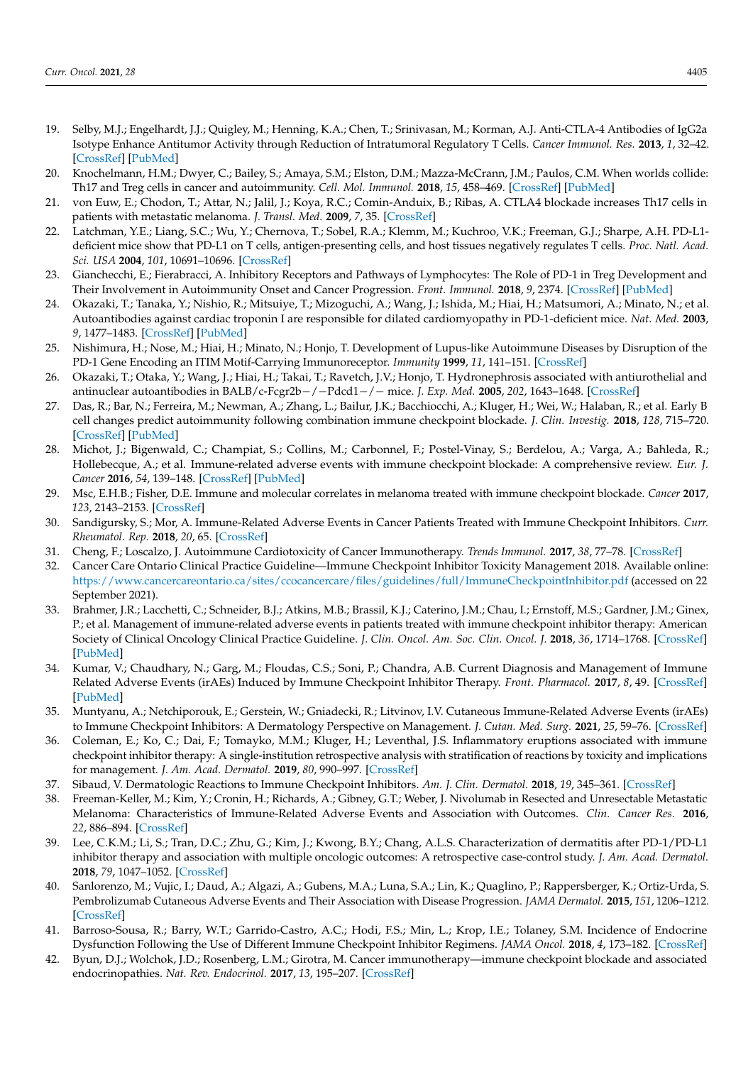- <span id="page-13-0"></span>19. Selby, M.J.; Engelhardt, J.J.; Quigley, M.; Henning, K.A.; Chen, T.; Srinivasan, M.; Korman, A.J. Anti-CTLA-4 Antibodies of IgG2a Isotype Enhance Antitumor Activity through Reduction of Intratumoral Regulatory T Cells. *Cancer Immunol. Res.* **2013**, *1*, 32–42. [\[CrossRef\]](http://doi.org/10.1158/2326-6066.CIR-13-0013) [\[PubMed\]](http://www.ncbi.nlm.nih.gov/pubmed/24777248)
- 20. Knochelmann, H.M.; Dwyer, C.; Bailey, S.; Amaya, S.M.; Elston, D.M.; Mazza-McCrann, J.M.; Paulos, C.M. When worlds collide: Th17 and Treg cells in cancer and autoimmunity. *Cell. Mol. Immunol.* **2018**, *15*, 458–469. [\[CrossRef\]](http://doi.org/10.1038/s41423-018-0004-4) [\[PubMed\]](http://www.ncbi.nlm.nih.gov/pubmed/29563615)
- <span id="page-13-1"></span>21. von Euw, E.; Chodon, T.; Attar, N.; Jalil, J.; Koya, R.C.; Comin-Anduix, B.; Ribas, A. CTLA4 blockade increases Th17 cells in patients with metastatic melanoma. *J. Transl. Med.* **2009**, *7*, 35. [\[CrossRef\]](http://doi.org/10.1186/1479-5876-7-35)
- <span id="page-13-2"></span>22. Latchman, Y.E.; Liang, S.C.; Wu, Y.; Chernova, T.; Sobel, R.A.; Klemm, M.; Kuchroo, V.K.; Freeman, G.J.; Sharpe, A.H. PD-L1 deficient mice show that PD-L1 on T cells, antigen-presenting cells, and host tissues negatively regulates T cells. *Proc. Natl. Acad. Sci. USA* **2004**, *101*, 10691–10696. [\[CrossRef\]](http://doi.org/10.1073/pnas.0307252101)
- 23. Gianchecchi, E.; Fierabracci, A. Inhibitory Receptors and Pathways of Lymphocytes: The Role of PD-1 in Treg Development and Their Involvement in Autoimmunity Onset and Cancer Progression. *Front. Immunol.* **2018**, *9*, 2374. [\[CrossRef\]](http://doi.org/10.3389/fimmu.2018.02374) [\[PubMed\]](http://www.ncbi.nlm.nih.gov/pubmed/30386337)
- 24. Okazaki, T.; Tanaka, Y.; Nishio, R.; Mitsuiye, T.; Mizoguchi, A.; Wang, J.; Ishida, M.; Hiai, H.; Matsumori, A.; Minato, N.; et al. Autoantibodies against cardiac troponin I are responsible for dilated cardiomyopathy in PD-1-deficient mice. *Nat. Med.* **2003**, *9*, 1477–1483. [\[CrossRef\]](http://doi.org/10.1038/nm955) [\[PubMed\]](http://www.ncbi.nlm.nih.gov/pubmed/14595408)
- 25. Nishimura, H.; Nose, M.; Hiai, H.; Minato, N.; Honjo, T. Development of Lupus-like Autoimmune Diseases by Disruption of the PD-1 Gene Encoding an ITIM Motif-Carrying Immunoreceptor. *Immunity* **1999**, *11*, 141–151. [\[CrossRef\]](http://doi.org/10.1016/S1074-7613(00)80089-8)
- <span id="page-13-3"></span>26. Okazaki, T.; Otaka, Y.; Wang, J.; Hiai, H.; Takai, T.; Ravetch, J.V.; Honjo, T. Hydronephrosis associated with antiurothelial and antinuclear autoantibodies in BALB/c-Fcgr2b−/−Pdcd1−/− mice. *J. Exp. Med.* **2005**, *202*, 1643–1648. [\[CrossRef\]](http://doi.org/10.1084/jem.20051984)
- <span id="page-13-4"></span>27. Das, R.; Bar, N.; Ferreira, M.; Newman, A.; Zhang, L.; Bailur, J.K.; Bacchiocchi, A.; Kluger, H.; Wei, W.; Halaban, R.; et al. Early B cell changes predict autoimmunity following combination immune checkpoint blockade. *J. Clin. Investig.* **2018**, *128*, 715–720. [\[CrossRef\]](http://doi.org/10.1172/JCI96798) [\[PubMed\]](http://www.ncbi.nlm.nih.gov/pubmed/29309048)
- <span id="page-13-5"></span>28. Michot, J.; Bigenwald, C.; Champiat, S.; Collins, M.; Carbonnel, F.; Postel-Vinay, S.; Berdelou, A.; Varga, A.; Bahleda, R.; Hollebecque, A.; et al. Immune-related adverse events with immune checkpoint blockade: A comprehensive review. *Eur. J. Cancer* **2016**, *54*, 139–148. [\[CrossRef\]](http://doi.org/10.1016/j.ejca.2015.11.016) [\[PubMed\]](http://www.ncbi.nlm.nih.gov/pubmed/26765102)
- <span id="page-13-6"></span>29. Msc, E.H.B.; Fisher, D.E. Immune and molecular correlates in melanoma treated with immune checkpoint blockade. *Cancer* **2017**, *123*, 2143–2153. [\[CrossRef\]](http://doi.org/10.1002/cncr.30444)
- 30. Sandigursky, S.; Mor, A. Immune-Related Adverse Events in Cancer Patients Treated with Immune Checkpoint Inhibitors. *Curr. Rheumatol. Rep.* **2018**, *20*, 65. [\[CrossRef\]](http://doi.org/10.1007/s11926-018-0770-0)
- <span id="page-13-7"></span>31. Cheng, F.; Loscalzo, J. Autoimmune Cardiotoxicity of Cancer Immunotherapy. *Trends Immunol.* **2017**, *38*, 77–78. [\[CrossRef\]](http://doi.org/10.1016/j.it.2016.11.007)
- <span id="page-13-8"></span>32. Cancer Care Ontario Clinical Practice Guideline—Immune Checkpoint Inhibitor Toxicity Management 2018. Available online: <https://www.cancercareontario.ca/sites/ccocancercare/files/guidelines/full/ImmuneCheckpointInhibitor.pdf> (accessed on 22 September 2021).
- <span id="page-13-9"></span>33. Brahmer, J.R.; Lacchetti, C.; Schneider, B.J.; Atkins, M.B.; Brassil, K.J.; Caterino, J.M.; Chau, I.; Ernstoff, M.S.; Gardner, J.M.; Ginex, P.; et al. Management of immune-related adverse events in patients treated with immune checkpoint inhibitor therapy: American Society of Clinical Oncology Clinical Practice Guideline. *J. Clin. Oncol. Am. Soc. Clin. Oncol. J.* **2018**, *36*, 1714–1768. [\[CrossRef\]](http://doi.org/10.1200/JCO.2017.77.6385) [\[PubMed\]](http://www.ncbi.nlm.nih.gov/pubmed/29442540)
- <span id="page-13-10"></span>34. Kumar, V.; Chaudhary, N.; Garg, M.; Floudas, C.S.; Soni, P.; Chandra, A.B. Current Diagnosis and Management of Immune Related Adverse Events (irAEs) Induced by Immune Checkpoint Inhibitor Therapy. *Front. Pharmacol.* **2017**, *8*, 49. [\[CrossRef\]](http://doi.org/10.3389/fphar.2017.00049) [\[PubMed\]](http://www.ncbi.nlm.nih.gov/pubmed/28228726)
- <span id="page-13-11"></span>35. Muntyanu, A.; Netchiporouk, E.; Gerstein, W.; Gniadecki, R.; Litvinov, I.V. Cutaneous Immune-Related Adverse Events (irAEs) to Immune Checkpoint Inhibitors: A Dermatology Perspective on Management. *J. Cutan. Med. Surg.* **2021**, *25*, 59–76. [\[CrossRef\]](http://doi.org/10.1177/1203475420943260)
- 36. Coleman, E.; Ko, C.; Dai, F.; Tomayko, M.M.; Kluger, H.; Leventhal, J.S. Inflammatory eruptions associated with immune checkpoint inhibitor therapy: A single-institution retrospective analysis with stratification of reactions by toxicity and implications for management. *J. Am. Acad. Dermatol.* **2019**, *80*, 990–997. [\[CrossRef\]](http://doi.org/10.1016/j.jaad.2018.10.062)
- <span id="page-13-12"></span>37. Sibaud, V. Dermatologic Reactions to Immune Checkpoint Inhibitors. *Am. J. Clin. Dermatol.* **2018**, *19*, 345–361. [\[CrossRef\]](http://doi.org/10.1007/s40257-017-0336-3)
- <span id="page-13-13"></span>38. Freeman-Keller, M.; Kim, Y.; Cronin, H.; Richards, A.; Gibney, G.T.; Weber, J. Nivolumab in Resected and Unresectable Metastatic Melanoma: Characteristics of Immune-Related Adverse Events and Association with Outcomes. *Clin. Cancer Res.* **2016**, *22*, 886–894. [\[CrossRef\]](http://doi.org/10.1158/1078-0432.CCR-15-1136)
- 39. Lee, C.K.M.; Li, S.; Tran, D.C.; Zhu, G.; Kim, J.; Kwong, B.Y.; Chang, A.L.S. Characterization of dermatitis after PD-1/PD-L1 inhibitor therapy and association with multiple oncologic outcomes: A retrospective case-control study. *J. Am. Acad. Dermatol.* **2018**, *79*, 1047–1052. [\[CrossRef\]](http://doi.org/10.1016/j.jaad.2018.05.035)
- <span id="page-13-14"></span>40. Sanlorenzo, M.; Vujic, I.; Daud, A.; Algazi, A.; Gubens, M.A.; Luna, S.A.; Lin, K.; Quaglino, P.; Rappersberger, K.; Ortiz-Urda, S. Pembrolizumab Cutaneous Adverse Events and Their Association with Disease Progression. *JAMA Dermatol.* **2015**, *151*, 1206–1212. [\[CrossRef\]](http://doi.org/10.1001/jamadermatol.2015.1916)
- <span id="page-13-15"></span>41. Barroso-Sousa, R.; Barry, W.T.; Garrido-Castro, A.C.; Hodi, F.S.; Min, L.; Krop, I.E.; Tolaney, S.M. Incidence of Endocrine Dysfunction Following the Use of Different Immune Checkpoint Inhibitor Regimens. *JAMA Oncol.* **2018**, *4*, 173–182. [\[CrossRef\]](http://doi.org/10.1001/jamaoncol.2017.3064)
- <span id="page-13-16"></span>42. Byun, D.J.; Wolchok, J.D.; Rosenberg, L.M.; Girotra, M. Cancer immunotherapy—immune checkpoint blockade and associated endocrinopathies. *Nat. Rev. Endocrinol.* **2017**, *13*, 195–207. [\[CrossRef\]](http://doi.org/10.1038/nrendo.2016.205)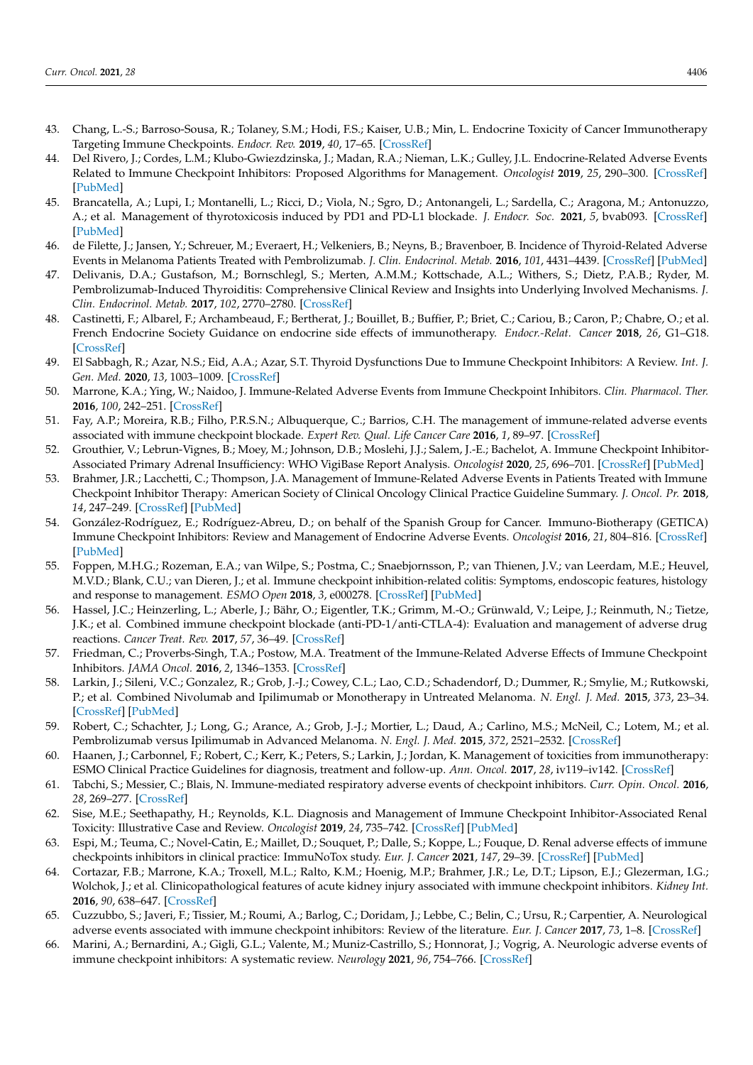- <span id="page-14-0"></span>43. Chang, L.-S.; Barroso-Sousa, R.; Tolaney, S.M.; Hodi, F.S.; Kaiser, U.B.; Min, L. Endocrine Toxicity of Cancer Immunotherapy Targeting Immune Checkpoints. *Endocr. Rev.* **2019**, *40*, 17–65. [\[CrossRef\]](http://doi.org/10.1210/er.2018-00006)
- <span id="page-14-1"></span>44. Del Rivero, J.; Cordes, L.M.; Klubo-Gwiezdzinska, J.; Madan, R.A.; Nieman, L.K.; Gulley, J.L. Endocrine-Related Adverse Events Related to Immune Checkpoint Inhibitors: Proposed Algorithms for Management. *Oncologist* **2019**, *25*, 290–300. [\[CrossRef\]](http://doi.org/10.1634/theoncologist.2018-0470) [\[PubMed\]](http://www.ncbi.nlm.nih.gov/pubmed/32297436)
- <span id="page-14-2"></span>45. Brancatella, A.; Lupi, I.; Montanelli, L.; Ricci, D.; Viola, N.; Sgro, D.; Antonangeli, L.; Sardella, C.; Aragona, M.; Antonuzzo, A.; et al. Management of thyrotoxicosis induced by PD1 and PD-L1 blockade. *J. Endocr. Soc.* **2021**, *5*, bvab093. [\[CrossRef\]](http://doi.org/10.1210/jendso/bvab093) [\[PubMed\]](http://www.ncbi.nlm.nih.gov/pubmed/34337277)
- <span id="page-14-3"></span>46. de Filette, J.; Jansen, Y.; Schreuer, M.; Everaert, H.; Velkeniers, B.; Neyns, B.; Bravenboer, B. Incidence of Thyroid-Related Adverse Events in Melanoma Patients Treated with Pembrolizumab. *J. Clin. Endocrinol. Metab.* **2016**, *101*, 4431–4439. [\[CrossRef\]](http://doi.org/10.1210/jc.2016-2300) [\[PubMed\]](http://www.ncbi.nlm.nih.gov/pubmed/27571185)
- 47. Delivanis, D.A.; Gustafson, M.; Bornschlegl, S.; Merten, A.M.M.; Kottschade, A.L.; Withers, S.; Dietz, P.A.B.; Ryder, M. Pembrolizumab-Induced Thyroiditis: Comprehensive Clinical Review and Insights into Underlying Involved Mechanisms. *J. Clin. Endocrinol. Metab.* **2017**, *102*, 2770–2780. [\[CrossRef\]](http://doi.org/10.1210/jc.2017-00448)
- <span id="page-14-4"></span>48. Castinetti, F.; Albarel, F.; Archambeaud, F.; Bertherat, J.; Bouillet, B.; Buffier, P.; Briet, C.; Cariou, B.; Caron, P.; Chabre, O.; et al. French Endocrine Society Guidance on endocrine side effects of immunotherapy. *Endocr.-Relat. Cancer* **2018**, *26*, G1–G18. [\[CrossRef\]](http://doi.org/10.1530/ERC-18-0320)
- <span id="page-14-5"></span>49. El Sabbagh, R.; Azar, N.S.; Eid, A.A.; Azar, S.T. Thyroid Dysfunctions Due to Immune Checkpoint Inhibitors: A Review. *Int. J. Gen. Med.* **2020**, *13*, 1003–1009. [\[CrossRef\]](http://doi.org/10.2147/IJGM.S261433)
- <span id="page-14-6"></span>50. Marrone, K.A.; Ying, W.; Naidoo, J. Immune-Related Adverse Events from Immune Checkpoint Inhibitors. *Clin. Pharmacol. Ther.* **2016**, *100*, 242–251. [\[CrossRef\]](http://doi.org/10.1002/cpt.394)
- <span id="page-14-7"></span>51. Fay, A.P.; Moreira, R.B.; Filho, P.R.S.N.; Albuquerque, C.; Barrios, C.H. The management of immune-related adverse events associated with immune checkpoint blockade. *Expert Rev. Qual. Life Cancer Care* **2016**, *1*, 89–97. [\[CrossRef\]](http://doi.org/10.1080/23809000.2016.1142827)
- <span id="page-14-8"></span>52. Grouthier, V.; Lebrun-Vignes, B.; Moey, M.; Johnson, D.B.; Moslehi, J.J.; Salem, J.-E.; Bachelot, A. Immune Checkpoint Inhibitor-Associated Primary Adrenal Insufficiency: WHO VigiBase Report Analysis. *Oncologist* **2020**, *25*, 696–701. [\[CrossRef\]](http://doi.org/10.1634/theoncologist.2019-0555) [\[PubMed\]](http://www.ncbi.nlm.nih.gov/pubmed/32390168)
- <span id="page-14-9"></span>53. Brahmer, J.R.; Lacchetti, C.; Thompson, J.A. Management of Immune-Related Adverse Events in Patients Treated with Immune Checkpoint Inhibitor Therapy: American Society of Clinical Oncology Clinical Practice Guideline Summary. *J. Oncol. Pr.* **2018**, *14*, 247–249. [\[CrossRef\]](http://doi.org/10.1200/JOP.18.00005) [\[PubMed\]](http://www.ncbi.nlm.nih.gov/pubmed/29517954)
- <span id="page-14-10"></span>54. González-Rodríguez, E.; Rodríguez-Abreu, D.; on behalf of the Spanish Group for Cancer. Immuno-Biotherapy (GETICA) Immune Checkpoint Inhibitors: Review and Management of Endocrine Adverse Events. *Oncologist* **2016**, *21*, 804–816. [\[CrossRef\]](http://doi.org/10.1634/theoncologist.2015-0509) [\[PubMed\]](http://www.ncbi.nlm.nih.gov/pubmed/27306911)
- <span id="page-14-11"></span>55. Foppen, M.H.G.; Rozeman, E.A.; van Wilpe, S.; Postma, C.; Snaebjornsson, P.; van Thienen, J.V.; van Leerdam, M.E.; Heuvel, M.V.D.; Blank, C.U.; van Dieren, J.; et al. Immune checkpoint inhibition-related colitis: Symptoms, endoscopic features, histology and response to management. *ESMO Open* **2018**, *3*, e000278. [\[CrossRef\]](http://doi.org/10.1136/esmoopen-2017-000278) [\[PubMed\]](http://www.ncbi.nlm.nih.gov/pubmed/29387476)
- <span id="page-14-12"></span>56. Hassel, J.C.; Heinzerling, L.; Aberle, J.; Bähr, O.; Eigentler, T.K.; Grimm, M.-O.; Grünwald, V.; Leipe, J.; Reinmuth, N.; Tietze, J.K.; et al. Combined immune checkpoint blockade (anti-PD-1/anti-CTLA-4): Evaluation and management of adverse drug reactions. *Cancer Treat. Rev.* **2017**, *57*, 36–49. [\[CrossRef\]](http://doi.org/10.1016/j.ctrv.2017.05.003)
- <span id="page-14-13"></span>57. Friedman, C.; Proverbs-Singh, T.A.; Postow, M.A. Treatment of the Immune-Related Adverse Effects of Immune Checkpoint Inhibitors. *JAMA Oncol.* **2016**, *2*, 1346–1353. [\[CrossRef\]](http://doi.org/10.1001/jamaoncol.2016.1051)
- <span id="page-14-14"></span>58. Larkin, J.; Sileni, V.C.; Gonzalez, R.; Grob, J.-J.; Cowey, C.L.; Lao, C.D.; Schadendorf, D.; Dummer, R.; Smylie, M.; Rutkowski, P.; et al. Combined Nivolumab and Ipilimumab or Monotherapy in Untreated Melanoma. *N. Engl. J. Med.* **2015**, *373*, 23–34. [\[CrossRef\]](http://doi.org/10.1056/NEJMoa1504030) [\[PubMed\]](http://www.ncbi.nlm.nih.gov/pubmed/26027431)
- <span id="page-14-15"></span>59. Robert, C.; Schachter, J.; Long, G.; Arance, A.; Grob, J.-J.; Mortier, L.; Daud, A.; Carlino, M.S.; McNeil, C.; Lotem, M.; et al. Pembrolizumab versus Ipilimumab in Advanced Melanoma. *N. Engl. J. Med.* **2015**, *372*, 2521–2532. [\[CrossRef\]](http://doi.org/10.1056/NEJMoa1503093)
- <span id="page-14-16"></span>60. Haanen, J.; Carbonnel, F.; Robert, C.; Kerr, K.; Peters, S.; Larkin, J.; Jordan, K. Management of toxicities from immunotherapy: ESMO Clinical Practice Guidelines for diagnosis, treatment and follow-up. *Ann. Oncol.* **2017**, *28*, iv119–iv142. [\[CrossRef\]](http://doi.org/10.1093/annonc/mdx225)
- <span id="page-14-17"></span>61. Tabchi, S.; Messier, C.; Blais, N. Immune-mediated respiratory adverse events of checkpoint inhibitors. *Curr. Opin. Oncol.* **2016**, *28*, 269–277. [\[CrossRef\]](http://doi.org/10.1097/CCO.0000000000000291)
- <span id="page-14-18"></span>62. Sise, M.E.; Seethapathy, H.; Reynolds, K.L. Diagnosis and Management of Immune Checkpoint Inhibitor-Associated Renal Toxicity: Illustrative Case and Review. *Oncologist* **2019**, *24*, 735–742. [\[CrossRef\]](http://doi.org/10.1634/theoncologist.2018-0764) [\[PubMed\]](http://www.ncbi.nlm.nih.gov/pubmed/30902916)
- <span id="page-14-19"></span>63. Espi, M.; Teuma, C.; Novel-Catin, E.; Maillet, D.; Souquet, P.; Dalle, S.; Koppe, L.; Fouque, D. Renal adverse effects of immune checkpoints inhibitors in clinical practice: ImmuNoTox study. *Eur. J. Cancer* **2021**, *147*, 29–39. [\[CrossRef\]](http://doi.org/10.1016/j.ejca.2021.01.005) [\[PubMed\]](http://www.ncbi.nlm.nih.gov/pubmed/33607383)
- <span id="page-14-20"></span>64. Cortazar, F.B.; Marrone, K.A.; Troxell, M.L.; Ralto, K.M.; Hoenig, M.P.; Brahmer, J.R.; Le, D.T.; Lipson, E.J.; Glezerman, I.G.; Wolchok, J.; et al. Clinicopathological features of acute kidney injury associated with immune checkpoint inhibitors. *Kidney Int.* **2016**, *90*, 638–647. [\[CrossRef\]](http://doi.org/10.1016/j.kint.2016.04.008)
- <span id="page-14-21"></span>65. Cuzzubbo, S.; Javeri, F.; Tissier, M.; Roumi, A.; Barlog, C.; Doridam, J.; Lebbe, C.; Belin, C.; Ursu, R.; Carpentier, A. Neurological adverse events associated with immune checkpoint inhibitors: Review of the literature. *Eur. J. Cancer* **2017**, *73*, 1–8. [\[CrossRef\]](http://doi.org/10.1016/j.ejca.2016.12.001)
- <span id="page-14-22"></span>66. Marini, A.; Bernardini, A.; Gigli, G.L.; Valente, M.; Muniz-Castrillo, S.; Honnorat, J.; Vogrig, A. Neurologic adverse events of immune checkpoint inhibitors: A systematic review. *Neurology* **2021**, *96*, 754–766. [\[CrossRef\]](http://doi.org/10.1212/WNL.0000000000011795)